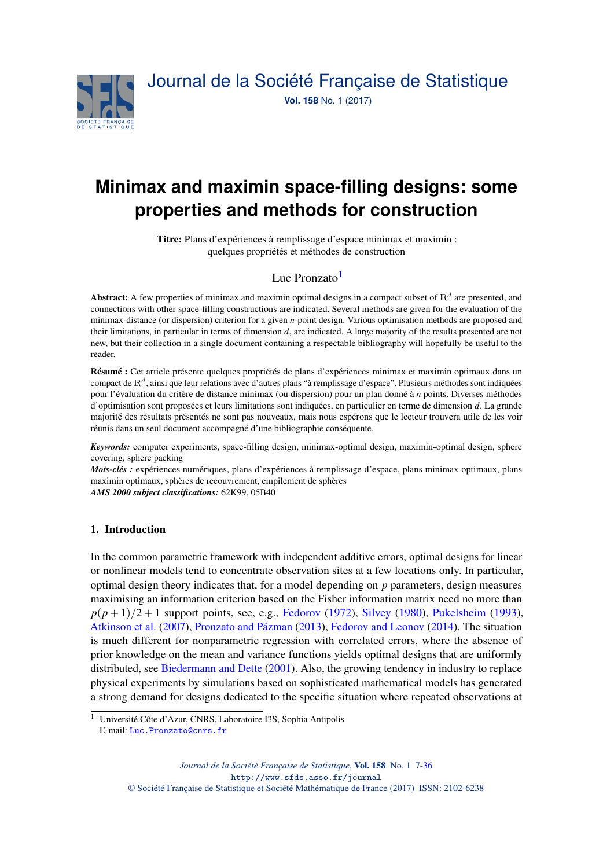

# **Minimax and maximin space-filling designs: some properties and methods for construction**

Titre: Plans d'expériences à remplissage d'espace minimax et maximin : quelques propriétés et méthodes de construction

## Luc Pronzato<sup>[1](#page-0-0)</sup>

Abstract: A few properties of minimax and maximin optimal designs in a compact subset of  $\mathbb{R}^d$  are presented, and connections with other space-filling constructions are indicated. Several methods are given for the evaluation of the minimax-distance (or dispersion) criterion for a given *n*-point design. Various optimisation methods are proposed and their limitations, in particular in terms of dimension *d*, are indicated. A large majority of the results presented are not new, but their collection in a single document containing a respectable bibliography will hopefully be useful to the reader.

Résumé : Cet article présente quelques propriétés de plans d'expériences minimax et maximin optimaux dans un compact de R*<sup>d</sup>* , ainsi que leur relations avec d'autres plans "à remplissage d'espace". Plusieurs méthodes sont indiquées pour l'évaluation du critère de distance minimax (ou dispersion) pour un plan donné à *n* points. Diverses méthodes d'optimisation sont proposées et leurs limitations sont indiquées, en particulier en terme de dimension *d*. La grande majorité des résultats présentés ne sont pas nouveaux, mais nous espérons que le lecteur trouvera utile de les voir réunis dans un seul document accompagné d'une bibliographie conséquente.

*Keywords:* computer experiments, space-filling design, minimax-optimal design, maximin-optimal design, sphere covering, sphere packing

*Mots-clés :* expériences numériques, plans d'expériences à remplissage d'espace, plans minimax optimaux, plans maximin optimaux, sphères de recouvrement, empilement de sphères

*AMS 2000 subject classifications:* 62K99, 05B40

## <span id="page-0-1"></span>1. Introduction

In the common parametric framework with independent additive errors, optimal designs for linear or nonlinear models tend to concentrate observation sites at a few locations only. In particular, optimal design theory indicates that, for a model depending on *p* parameters, design measures maximising an information criterion based on the Fisher information matrix need no more than  $p(p+1)/2+1$  support points, see, e.g., [Fedorov](#page-27-0) [\(1972\)](#page-27-0), [Silvey](#page-29-0) [\(1980\)](#page-29-0), [Pukelsheim](#page-28-0) [\(1993\)](#page-28-0), [Atkinson et al.](#page-26-0) [\(2007\)](#page-26-0), [Pronzato and Pázman](#page-28-1) [\(2013\)](#page-28-1), [Fedorov and Leonov](#page-27-1) [\(2014\)](#page-27-1). The situation is much different for nonparametric regression with correlated errors, where the absence of prior knowledge on the mean and variance functions yields optimal designs that are uniformly distributed, see [Biedermann and Dette](#page-26-1) [\(2001\)](#page-26-1). Also, the growing tendency in industry to replace physical experiments by simulations based on sophisticated mathematical models has generated a strong demand for designs dedicated to the specific situation where repeated observations at

<span id="page-0-0"></span><sup>1</sup> Université Côte d'Azur, CNRS, Laboratoire I3S, Sophia Antipolis

E-mail: [Luc.Pronzato@cnrs.fr](mailto:Luc.Pronzato@cnrs.fr)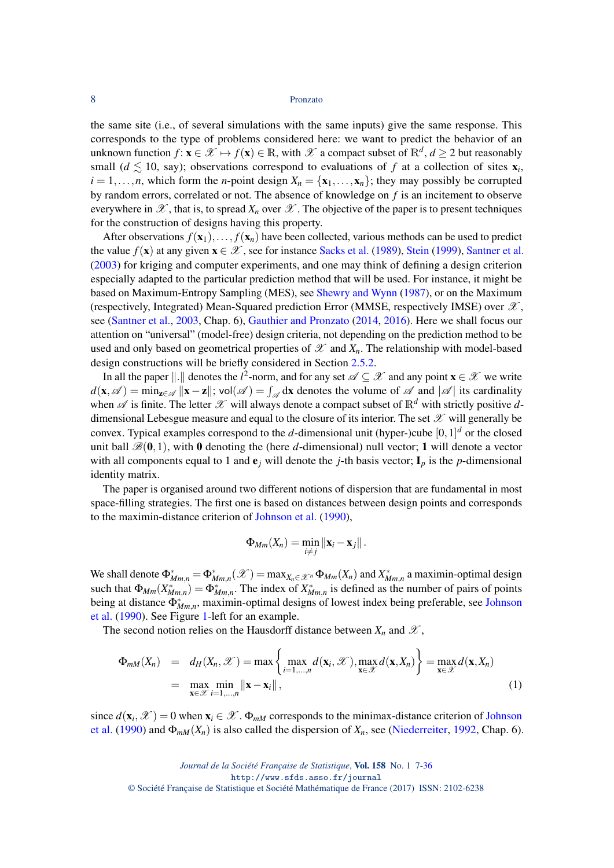the same site (i.e., of several simulations with the same inputs) give the same response. This corresponds to the type of problems considered here: we want to predict the behavior of an unknown function  $f: x \in \mathscr{X} \mapsto f(x) \in \mathbb{R}$ , with  $\mathscr{X}$  a compact subset of  $\mathbb{R}^d$ ,  $d \geq 2$  but reasonably small ( $d \lesssim 10$ , say); observations correspond to evaluations of f at a collection of sites  $\mathbf{x}_i$ ,  $i = 1, \ldots, n$ , which form the *n*-point design  $X_n = \{x_1, \ldots, x_n\}$ ; they may possibly be corrupted by random errors, correlated or not. The absence of knowledge on *f* is an incitement to observe everywhere in  $\mathscr{X}$ , that is, to spread  $X_n$  over  $\mathscr{X}$ . The objective of the paper is to present techniques for the construction of designs having this property.

After observations  $f(\mathbf{x}_1),..., f(\mathbf{x}_n)$  have been collected, various methods can be used to predict the value  $f(\mathbf{x})$  at any given  $\mathbf{x} \in \mathcal{X}$ , see for instance [Sacks et al.](#page-29-2) [\(1989\)](#page-29-2), [Stein](#page-29-3) [\(1999\)](#page-29-3), [Santner et al.](#page-29-4) [\(2003\)](#page-29-4) for kriging and computer experiments, and one may think of defining a design criterion especially adapted to the particular prediction method that will be used. For instance, it might be based on Maximum-Entropy Sampling (MES), see [Shewry and Wynn](#page-29-5) [\(1987\)](#page-29-5), or on the Maximum (respectively, Integrated) Mean-Squared prediction Error (MMSE, respectively IMSE) over  $\mathscr{X},$ see [\(Santner et al.,](#page-29-4) [2003,](#page-29-4) Chap. 6), [Gauthier and Pronzato](#page-27-2) [\(2014,](#page-27-2) [2016\)](#page-27-3). Here we shall focus our attention on "universal" (model-free) design criteria, not depending on the prediction method to be used and only based on geometrical properties of  $\mathscr X$  and  $X_n$ . The relationship with model-based design constructions will be briefly considered in Section [2.5.2.](#page-14-0)

In all the paper  $\|.\|$  denotes the *l*<sup>2</sup>-norm, and for any set  $\mathscr{A} \subseteq \mathscr{X}$  and any point  $\mathbf{x} \in \mathscr{X}$  we write  $d(\mathbf{x}, \mathscr{A}) = \min_{\mathbf{z} \in \mathscr{A}} ||\mathbf{x} - \mathbf{z}||$ ; vol $(\mathscr{A}) = \int_{\mathscr{A}} d\mathbf{x}$  denotes the volume of  $\mathscr{A}$  and  $|\mathscr{A}|$  its cardinality when  $\mathscr A$  is finite. The letter  $\mathscr X$  will always denote a compact subset of  $\mathbb R^d$  with strictly positive  $d$ dimensional Lebesgue measure and equal to the closure of its interior. The set  $\mathscr X$  will generally be convex. Typical examples correspond to the *d*-dimensional unit (hyper-)cube  $[0,1]^d$  or the closed unit ball  $\mathscr{B}(0,1)$ , with 0 denoting the (here *d*-dimensional) null vector; 1 will denote a vector with all components equal to 1 and  $e_j$  will denote the *j*-th basis vector;  $I_p$  is the *p*-dimensional identity matrix.

The paper is organised around two different notions of dispersion that are fundamental in most space-filling strategies. The first one is based on distances between design points and corresponds to the maximin-distance criterion of [Johnson et al.](#page-27-4) [\(1990\)](#page-27-4),

$$
\Phi_{Mm}(X_n)=\min_{i\neq j}\|\mathbf{x}_i-\mathbf{x}_j\|.
$$

We shall denote  $\Phi_{Mm,n}^* = \Phi_{Mm,n}^*(\mathscr{X}) = \max_{X_n \in \mathscr{X}^n} \Phi_{Mm}(X_n)$  and  $X_{Mm,n}^*$  a maximin-optimal design such that  $\Phi_{Mm}(X^*_{Mm,n}) = \Phi^*_{Mm,n}$ . The index of  $X^*_{Mm,n}$  is defined as the number of pairs of points being at distance  $\Phi^*_{Mm,n}$ , maximin-optimal designs of lowest index being preferable, see [Johnson](#page-27-4) [et al.](#page-27-4) [\(1990\)](#page-27-4). See Figure [1-](#page-2-0)left for an example.

The second notion relies on the Hausdorff distance between  $X_n$  and  $\mathscr{X}$ ,

<span id="page-1-0"></span>
$$
\Phi_{mM}(X_n) = d_H(X_n, \mathcal{X}) = \max \left\{ \max_{i=1,\dots,n} d(\mathbf{x}_i, \mathcal{X}), \max_{\mathbf{x} \in \mathcal{X}} d(\mathbf{x}, X_n) \right\} = \max_{\mathbf{x} \in \mathcal{X}} d(\mathbf{x}, X_n)
$$
\n
$$
= \max_{\mathbf{x} \in \mathcal{X}} \min_{i=1,\dots,n} \|\mathbf{x} - \mathbf{x}_i\|,
$$
\n(1)

since  $d(\mathbf{x}_i, \mathcal{X}) = 0$  when  $\mathbf{x}_i \in \mathcal{X}$ .  $\Phi_{mM}$  corresponds to the minimax-distance criterion of [Johnson](#page-27-4) [et al.](#page-27-4) [\(1990\)](#page-27-4) and  $\Phi_{mM}(X_n)$  is also called the dispersion of  $X_n$ , see [\(Niederreiter,](#page-28-2) [1992,](#page-28-2) Chap. 6).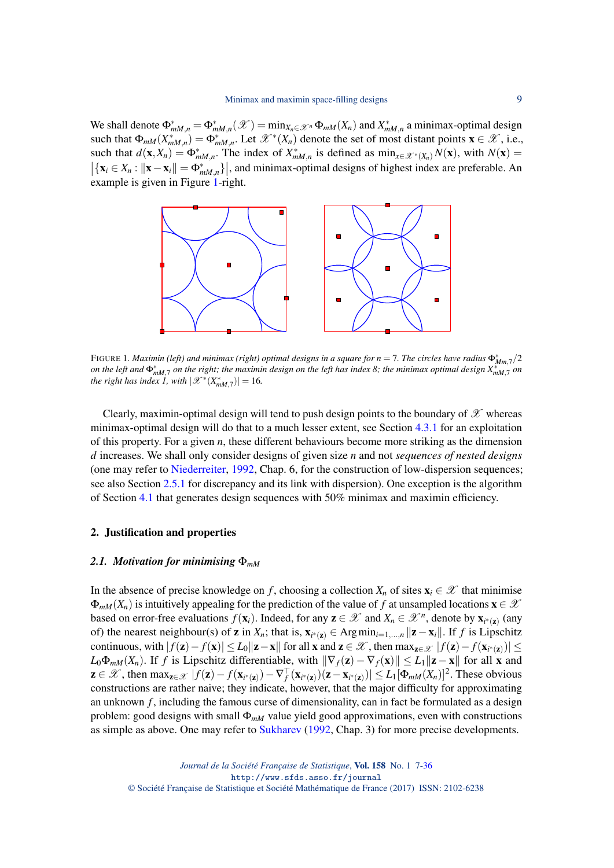We shall denote  $\Phi_{mM,n}^* = \Phi_{mM,n}^*(\mathcal{X}) = \min_{X_n \in \mathcal{X}^n} \Phi_{mM}(X_n)$  and  $X_{mM,n}^*$  a minimax-optimal design such that  $\Phi_{mM}(X_{mM,n}^*) = \Phi_{mM,n}^*$ . Let  $\mathscr{X}^*(X_n)$  denote the set of most distant points  $\mathbf{x} \in \mathscr{X}$ , i.e., such that  $d(\mathbf{x}, X_n) = \Phi_{mM,n}^*$ . The index of  $X_{mM,n}^*$  is defined as  $\min_{x \in \mathcal{X}^*(X_n)} N(\mathbf{x})$ , with  $N(\mathbf{x}) =$  $\left|\left\{\mathbf{x}_i \in X_n : ||\mathbf{x} - \mathbf{x}_i|| = \Phi_{mM,n}^*\right\}\right|$ , and minimax-optimal designs of highest index are preferable. An example is given in Figure [1-](#page-2-0)right.



<span id="page-2-0"></span>FIGURE 1. Maximin (left) and minimax (right) optimal designs in a square for  $n = 7$ . The circles have radius  $\Phi^*_{Mm,7}/2$ *on the left and*  $\Phi_{mM,7}^*$  *on the right; the maximin design on the left has index 8; the minimax optimal design*  $X_{mM,7}^*$  *on the right has index 1, with*  $|\mathscr{X}^*(X^*_{mM,7})| = 16$ .

Clearly, maximin-optimal design will tend to push design points to the boundary of  $\mathscr X$  whereas minimax-optimal design will do that to a much lesser extent, see Section [4.3.1](#page-22-0) for an exploitation of this property. For a given *n*, these different behaviours become more striking as the dimension *d* increases. We shall only consider designs of given size *n* and not *sequences of nested designs* (one may refer to [Niederreiter,](#page-28-2) [1992,](#page-28-2) Chap. 6, for the construction of low-dispersion sequences; see also Section [2.5.1](#page-11-0) for discrepancy and its link with dispersion). One exception is the algorithm of Section [4.1](#page-19-0) that generates design sequences with  $50\%$  minimax and maximin efficiency.

### 2. Justification and properties

## <span id="page-2-1"></span>*2.1. Motivation for minimising* Φ*mM*

In the absence of precise knowledge on *f*, choosing a collection  $X_n$  of sites  $\mathbf{x}_i \in \mathcal{X}$  that minimise  $\Phi_{mM}(X_n)$  is intuitively appealing for the prediction of the value of f at unsampled locations  $\mathbf{x} \in \mathcal{X}$ based on error-free evaluations  $f(\mathbf{x}_i)$ . Indeed, for any  $\mathbf{z} \in \mathcal{X}$  and  $X_n \in \mathcal{X}^n$ , denote by  $\mathbf{x}_{i^*(\mathbf{z})}$  (any of) the nearest neighbour(s) of **z** in  $X_n$ ; that is,  $\mathbf{x}_{i^*(\mathbf{z})} \in \text{Arg}\min_{i=1,\dots,n} ||\mathbf{z}-\mathbf{x}_i||$ . If *f* is Lipschitz continuous, with  $|f(\mathbf{z}) - f(\mathbf{x})| \le L_0 \|\mathbf{z} - \mathbf{x}\|$  for all  $\mathbf{x}$  and  $\mathbf{z} \in \mathscr{X}$  , then  $\max_{\mathbf{z} \in \mathscr{X}} |f(\mathbf{z}) - f(\mathbf{x}_{i^*(\mathbf{z})})| \le$  $L_0\Phi_{mM}(X_n)$ . If *f* is Lipschitz differentiable, with  $\|\nabla_f(z) - \nabla_f(x)\| \le L_1 \|z - x\|$  for all x and  $z \in \mathscr{X}$ , then  $\max_{z \in \mathscr{X}} |f(z) - f(x_{i^*(z)}) - \nabla_f^{\top}(x_{i^*(z)}) (z - x_{i^*(z)})| \leq L_1[\Phi_{mM}(X_n)]^2$ . These obvious constructions are rather naive; they indicate, however, that the major difficulty for approximating an unknown *f* , including the famous curse of dimensionality, can in fact be formulated as a design problem: good designs with small  $\Phi_{mM}$  value yield good approximations, even with constructions as simple as above. One may refer to [Sukharev](#page-29-6) [\(1992,](#page-29-6) Chap. 3) for more precise developments.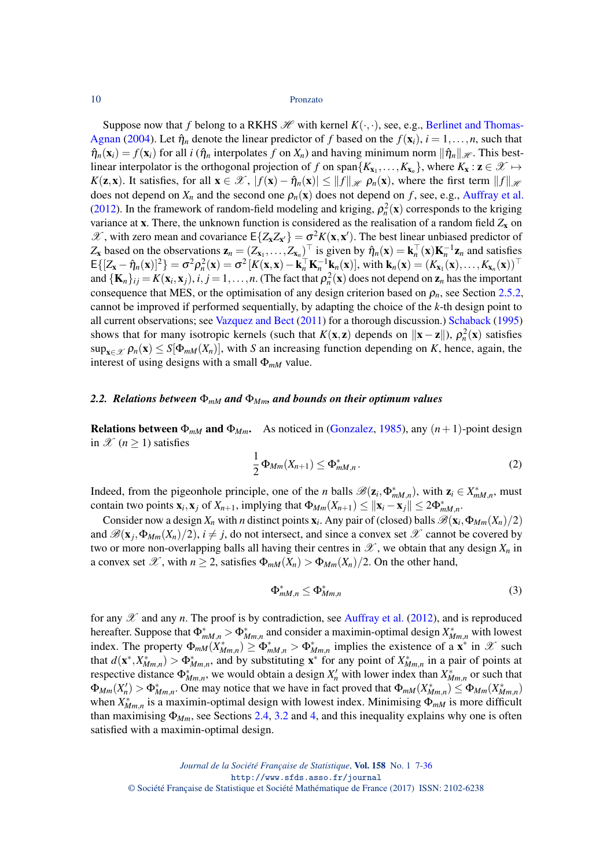Suppose now that *f* belong to a RKHS  $\mathcal{H}$  with kernel  $K(\cdot, \cdot)$ , see, e.g., [Berlinet and Thomas-](#page-26-2)[Agnan](#page-26-2) [\(2004\)](#page-26-2). Let  $\hat{\eta}_n$  denote the linear predictor of f based on the  $f(\mathbf{x}_i)$ ,  $i = 1, \dots, n$ , such that  $\hat{\eta}_n(\mathbf{x}_i) = f(\mathbf{x}_i)$  for all *i* ( $\hat{\eta}_n$  interpolates *f* on  $X_n$ ) and having minimum norm  $\|\hat{\eta}_n\|_{\mathcal{H}}$ . This bestlinear interpolator is the orthogonal projection of *f* on span $\{K_{x_1},...,K_{x_n}\}$ , where  $K_x : \mathbf{z} \in \mathcal{X} \mapsto$ *K*(**z**, **x**). It satisfies, for all  $\mathbf{x} \in \mathcal{X}$ ,  $|f(\mathbf{x}) - \hat{\eta}_n(\mathbf{x})| \le ||f||_{\mathcal{H}} \rho_n(\mathbf{x})$ , where the first term  $||f||_{\mathcal{H}}$ does not depend on  $X_n$  and the second one  $\rho_n(\mathbf{x})$  does not depend on f, see, e.g., [Auffray et al.](#page-26-3) [\(2012\)](#page-26-3). In the framework of random-field modeling and kriging,  $\rho_n^2(\mathbf{x})$  corresponds to the kriging variance at x. There, the unknown function is considered as the realisation of a random field  $Z_x$  on  $\mathscr{X}$ , with zero mean and covariance  $E\{Z_x Z_{x'}\} = \sigma^2 K(x, x')$ . The best linear unbiased predictor of  $Z_x$  based on the observations  $\mathbf{z}_n = (Z_{x_1},...,Z_{x_n})^\top$  is given by  $\hat{\eta}_n(\mathbf{x}) = \mathbf{k}_n^\top(\mathbf{x})\mathbf{K}_n^{-1}\mathbf{z}_n$  and satisfies  $\mathsf{E}\{[Z_{\mathbf{x}} - \hat{\eta}_n(\mathbf{x})]^2\} = \sigma^2 \rho_n^2(\mathbf{x}) = \sigma^2 [K(\mathbf{x}, \mathbf{x}) - \mathbf{k}_n^\top \mathbf{K}_n^{-1} \mathbf{k}_n(\mathbf{x})],$  with  $\mathbf{k}_n(\mathbf{x}) = (K_{\mathbf{x}_1}(\mathbf{x}), \dots, K_{\mathbf{x}_n}(\mathbf{x}))^\top$ and  $\{K_n\}_{ij} = K(\mathbf{x}_i, \mathbf{x}_j)$ ,  $i, j = 1, \ldots, n$ . (The fact that  $\rho_n^2(\mathbf{x})$  does not depend on  $\mathbf{z}_n$  has the important consequence that MES, or the optimisation of any design criterion based on  $\rho_n$ , see Section [2.5.2,](#page-14-0) cannot be improved if performed sequentially, by adapting the choice of the *k*-th design point to all current observations; see [Vazquez and Bect](#page-29-7) [\(2011\)](#page-29-7) for a thorough discussion.) [Schaback](#page-29-8) [\(1995\)](#page-29-8) shows that for many isotropic kernels (such that  $K(x, z)$  depends on  $||x - z||$ ),  $\rho_n^2(x)$  satisfies  $\sup_{x \in \mathcal{X}} \rho_n(x) \leq S[\Phi_{mM}(X_n)],$  with *S* an increasing function depending on *K*, hence, again, the interest of using designs with a small Φ*mM* value.

## <span id="page-3-1"></span>*2.2. Relations between* Φ*mM and* Φ*Mm, and bounds on their optimum values*

<span id="page-3-0"></span>**Relations between**  $\Phi_{mM}$  **and**  $\Phi_{Mm}$ **.** As noticed in [\(Gonzalez,](#page-27-5) [1985\)](#page-27-5), any  $(n+1)$ -point design in  $\mathscr{X}$  ( $n \geq 1$ ) satisfies

<span id="page-3-2"></span>
$$
\frac{1}{2}\Phi_{Mm}(X_{n+1}) \leq \Phi_{mM,n}^*.
$$
\n(2)

Indeed, from the pigeonhole principle, one of the *n* balls  $\mathscr{B}(z_i, \Phi^*_{mM,n})$ , with  $z_i \in X^*_{mM,n}$ , must contain two points  $\mathbf{x}_i$ ,  $\mathbf{x}_j$  of  $X_{n+1}$ , implying that  $\Phi_{Mm}(X_{n+1}) \le ||\mathbf{x}_i - \mathbf{x}_j|| \le 2\Phi_{mM,n}^*$ .

Consider now a design  $X_n$  with *n* distinct points  $\mathbf{x}_i$ . Any pair of (closed) balls  $\mathscr{B}(\mathbf{x}_i, \Phi_{Mm}(X_n)/2)$ and  $\mathscr{B}(\mathbf{x}_j, \Phi_{Mm}(X_n)/2), i \neq j$ , do not intersect, and since a convex set  $\mathscr{X}$  cannot be covered by two or more non-overlapping balls all having their centres in  $\mathscr X$ , we obtain that any design  $X_n$  in a convex set  $\mathscr X$ , with  $n \geq 2$ , satisfies  $\Phi_{mM}(X_n) > \Phi_{Mm}(X_n)/2$ . On the other hand,

<span id="page-3-3"></span>
$$
\Phi_{mM,n}^* \le \Phi_{Mm,n}^* \tag{3}
$$

for any  $\mathscr X$  and any *n*. The proof is by contradiction, see [Auffray et al.](#page-26-3) [\(2012\)](#page-26-3), and is reproduced hereafter. Suppose that  $\Phi_{mM,n}^* > \Phi_{Mm,n}^*$  and consider a maximin-optimal design  $X_{Mm,n}^*$  with lowest index. The property  $\Phi_{mM}(\hat{X}_{Mm,n}^*) \ge \Phi_{mM,n}^* > \Phi_{Mm,n}^*$  implies the existence of a  $\mathbf{x}^*$  in  $\mathcal{X}$  such that  $d(\mathbf{x}^*, X^*_{Mm,n}) > \Phi^*_{Mm,n}$ , and by substituting  $\mathbf{x}^*$  for any point of  $X^*_{Mm,n}$  in a pair of points at respective distance  $\Phi^*_{Mm,n}$ , we would obtain a design  $X'_n$  with lower index than  $X^*_{Mm,n}$  or such that  $\Phi_{Mm}(X_n') > \Phi_{Mm,n}^*$ . One may notice that we have in fact proved that  $\Phi_{mM}(X_{Mm,n}^*) \leq \Phi_{Mm}(X_{Mm,n}^*)$ when  $X^*_{Mm,n}$  is a maximin-optimal design with lowest index. Minimising  $\Phi_{mM}$  is more difficult than maximising  $\Phi_{M_m}$ , see Sections [2.4,](#page-8-0) [3.2](#page-17-0) and [4,](#page-19-1) and this inequality explains why one is often satisfied with a maximin-optimal design.

*Journal de la Société Française de Statistique*, Vol. 158 No. 1 7[-36](#page-29-1) http://www.sfds.asso.fr/journal © Société Française de Statistique et Société Mathématique de France (2017) ISSN: 2102-6238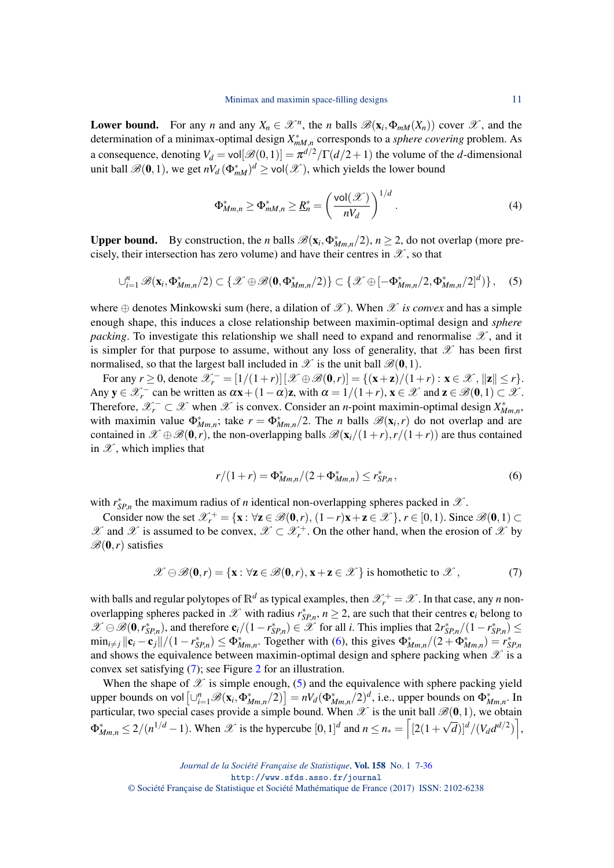**Lower bound.** For any *n* and any  $X_n \in \mathcal{X}^n$ , the *n* balls  $\mathcal{B}(\mathbf{x}_i, \Phi_{mM}(X_n))$  cover  $\mathcal{X}$ , and the determination of a minimax-optimal design  $X_{mM,n}^*$  corresponds to a *sphere covering* problem. As a consequence, denoting  $V_d = \text{vol}[\mathcal{B}(0,1)] = \pi^{d/2}/\Gamma(d/2+1)$  the volume of the *d*-dimensional unit ball  $\mathscr{B}(0,1)$ , we get  $nV_d(\Phi_{mM}^*)^d \ge \text{vol}(\mathscr{X})$ , which yields the lower bound

<span id="page-4-3"></span>
$$
\Phi_{Mm,n}^* \ge \Phi_{mM,n}^* \ge \underline{R}_n^* = \left(\frac{\text{vol}(\mathcal{X})}{nV_d}\right)^{1/d}.
$$
 (4)

Upper bound. By construction, the *n* balls  $\mathscr{B}(x_i, \Phi^*_{Mm,n}/2)$ ,  $n \geq 2$ , do not overlap (more precisely, their intersection has zero volume) and have their centres in  $\mathscr{X}$ , so that

<span id="page-4-2"></span>
$$
\cup_{i=1}^n \mathscr{B}(\mathbf{x}_i, \Phi^*_{Mm,n}/2) \subset \{ \mathscr{X} \oplus \mathscr{B}(\mathbf{0}, \Phi^*_{Mm,n}/2) \} \subset \{ \mathscr{X} \oplus [-\Phi^*_{Mm,n}/2, \Phi^*_{Mm,n}/2]^d) \}, \quad (5)
$$

where  $\oplus$  denotes Minkowski sum (here, a dilation of  $\mathscr X$ ). When  $\mathscr X$  *is convex* and has a simple enough shape, this induces a close relationship between maximin-optimal design and *sphere packing*. To investigate this relationship we shall need to expand and renormalise  $\mathscr X$ , and it is simpler for that purpose to assume, without any loss of generality, that  $\mathscr X$  has been first normalised, so that the largest ball included in  $\mathscr X$  is the unit ball  $\mathscr B(\mathbf{0},1)$ .

For any  $r \ge 0$ , denote  $\mathcal{X}_r^- = [1/(1+r)][\mathcal{X} \oplus \mathcal{B}(\mathbf{0}, r)] = \{(\mathbf{x} + \mathbf{z})/(1+r) : \mathbf{x} \in \mathcal{X}, ||\mathbf{z}|| \le r\}.$ Any  $y \in \mathscr{X}_r^-$  can be written as  $\alpha x + (1 - \alpha)z$ , with  $\alpha = 1/(1+r)$ ,  $x \in \mathscr{X}$  and  $z \in \mathscr{B}(0,1) \subset \mathscr{X}$ . Therefore,  $\mathscr{X}_r^- \subset \mathscr{X}$  when  $\mathscr{X}$  is convex. Consider an *n*-point maximin-optimal design  $X^*_{Mm,n}$ , with maximin value  $\Phi_{Mm,n}^*$ ; take  $r = \Phi_{Mm,n}^*/2$ . The *n* balls  $\mathscr{B}(\mathbf{x}_i,r)$  do not overlap and are contained in  $\mathscr{X} \oplus \mathscr{B}(0,r)$ , the non-overlapping balls  $\mathscr{B}(\mathbf{x}_i/(1+r), r/(1+r))$  are thus contained in  $\mathscr X$ , which implies that

<span id="page-4-0"></span>
$$
r/(1+r) = \Phi_{Mm,n}^*/(2+\Phi_{Mm,n}^*) \le r_{SP,n}^*,\tag{6}
$$

with  $r_{SP,n}^*$  the maximum radius of *n* identical non-overlapping spheres packed in  $\mathcal{X}$ .

Consider now the set  $\mathcal{X}_r^+ = {\mathbf{x} : \forall \mathbf{z} \in \mathcal{B}(\mathbf{0},r), (1-r)\mathbf{x} + \mathbf{z} \in \mathcal{X}}$ ,  $r \in [0,1)$ . Since  $\mathcal{B}(\mathbf{0},1) \subset$  $\mathscr X$  and  $\mathscr X$  is assumed to be convex,  $\mathscr X \subset \mathscr X^+_r$ . On the other hand, when the erosion of  $\mathscr X$  by  $\mathscr{B}(0,r)$  satisfies

<span id="page-4-1"></span>
$$
\mathscr{X} \ominus \mathscr{B}(\mathbf{0}, r) = \{ \mathbf{x} : \forall \mathbf{z} \in \mathscr{B}(\mathbf{0}, r), \mathbf{x} + \mathbf{z} \in \mathscr{X} \} \text{ is homothetic to } \mathscr{X},\tag{7}
$$

with balls and regular polytopes of  $\mathbb{R}^d$  as typical examples, then  $\mathscr{X}^+_r = \mathscr{X}$ . In that case, any *n* nonoverlapping spheres packed in  $\mathscr X$  with radius  $r_{SP,n}^*$ ,  $n \geq 2$ , are such that their centres  $c_i$  belong to *X* ⊖  $\mathscr{B}(\mathbf{0}, r_{SP,n}^*)$ , and therefore  $\mathbf{c}_i/(1 - r_{SP,n}^*) \in \mathscr{X}$  for all *i*. This implies that  $2r_{SP,n}^*/(1 - r_{SP,n}^*) \le$  $\min_{i \neq j} ||c_i - c_j||/(1 - r_{SP,n}^*) \leq \Phi_{Mm,n}^*$ . Together with [\(6\)](#page-4-0), this gives  $\Phi_{Mm,n}^*/(2 + \Phi_{Mm,n}^*) = r_{SP,n}^*$ and shows the equivalence between maximin-optimal design and sphere packing when  $\mathscr X$  is a convex set satisfying [\(7\)](#page-4-1); see Figure [2](#page-5-0) for an illustration.

When the shape of  $\mathscr X$  is simple enough, [\(5\)](#page-4-2) and the equivalence with sphere packing yield  ${\rm upper\,\, bounds\,\, on\,\, vol}\left[\cup_{i=1}^n\mathscr{B}(\mathbf{x}_i,\Phi^*_{Mm,n}/2)\right]=nV_d(\Phi^*_{Mm,n}/2)^d, \,\text{i.e.,\, upper\, bounds\,\, on\,\, } \Phi^*_{Mm,n}.$  In particular, two special cases provide a simple bound. When  $\mathscr X$  is the unit ball  $\mathscr B(0,1)$ , we obtain  $\Phi_{Mm,n}^* \leq 2/(n^{1/d}-1)$ . When  $\mathscr{X}$  is the hypercube  $[0,1]^d$  and  $n \leq n_* = \left[ [2(1+\sqrt{d})]^d / (V_d d^{d/2}) \right]$ ,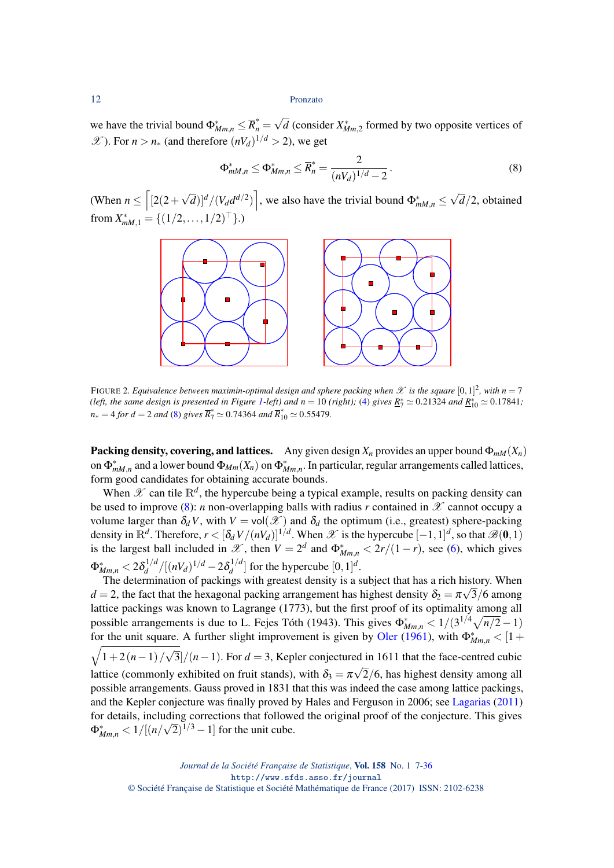we have the trivial bound  $\Phi_{Mm,n}^* \leq \overline{R}_n^* =$ √  $\overline{d}$  (consider  $X^*_{Mm,2}$  formed by two opposite vertices of *X* ). For *n* > *n*<sub>∗</sub> (and therefore  $(nV_d)^{1/d}$  > 2), we get

<span id="page-5-1"></span>
$$
\Phi_{mM,n}^* \le \Phi_{Mm,n}^* \le \overline{R}_n^* = \frac{2}{(nV_d)^{1/d} - 2}.
$$
 (8)

(When  $n \leq \left[2(2 + \dots)\right]$  $(\sqrt{d})^d / (V_d d^{d/2})$ , we also have the trivial bound  $\Phi_{mM,n}^* \leq$ √ *d*/2, obtained from  $X^*_{mM,1} = \{(1/2,\ldots,1/2)^\top\}$ .)



<span id="page-5-0"></span>FIGURE 2. Equivalence between maximin-optimal design and sphere packing when  $\mathscr X$  is the square  $[0,1]^2$ , with  $n=7$ *(left, the same design is presented in Figure [1-](#page-2-0)left) and*  $n = 10$  *(right);* [\(4\)](#page-4-3) *gives*  $\underline{R}_7^* \simeq 0.21324$  and  $\underline{R}_{10}^* \simeq 0.17841$ ;  $n_* = 4$  *for d* = 2 *and* [\(8\)](#page-5-1) *gives*  $\overline{R}_7^* \simeq 0.74364$  *and*  $\overline{R}_{10}^* \simeq 0.55479$ *.* 

Packing density, covering, and lattices. Any given design  $X_n$  provides an upper bound  $\Phi_{mM}(X_n)$ on  $\Phi_{mM,n}^*$  and a lower bound  $\Phi_{Mm}(X_n)$  on  $\Phi_{Mm,n}^*$ . In particular, regular arrangements called lattices, form good candidates for obtaining accurate bounds.

When  $\mathscr X$  can tile  $\mathbb R^d$ , the hypercube being a typical example, results on packing density can be used to improve [\(8\)](#page-5-1): *n* non-overlapping balls with radius *r* contained in  $\mathscr X$  cannot occupy a volume larger than  $\delta_d V$ , with  $V = vol(\mathcal{X})$  and  $\delta_d$  the optimum (i.e., greatest) sphere-packing density in  $\mathbb{R}^d$ . Therefore,  $r < [\delta_d V/(nV_d)]^{1/d}$ . When  $\mathscr{X}$  is the hypercube  $[-1,1]^d$ , so that  $\mathscr{B}(0,1)$ is the largest ball included in  $\mathscr{X}$ , then  $V = 2^d$  and  $\Phi^*_{Mm,n} < 2r/(1-r)$ , see [\(6\)](#page-4-0), which gives  $\Phi _{Mm,n}^{\ast }<2\delta _{d}^{1/d}$  $\frac{d}{d}$ <sup>1/*d*</sup> /[(nV<sub>*d*</sub>)<sup>1/*d*</sup> − 2 $\delta_d^{1/d}$  $\int_{d}^{1/d}$  for the hypercube  $[0, 1]^{d}$ .

The determination of packings with greatest density is a subject that has a rich history. When  $d = 2$ , the fact that the hexagonal packing arrangement has highest density  $\delta_2 = \pi \sqrt{3/6}$  among lattice packings was known to Lagrange (1773), but the first proof of its optimality among all possible arrangements is due to L. Fejes Tóth (1943). This gives  $\Phi_{Mm,n}^* < 1/(3^{1/4}\sqrt{n/2}-1)$ for the unit square. A further slight improvement is given by [Oler](#page-28-3) [\(1961\)](#page-28-3), with  $\Phi^*_{Mm,n} < [1 +$  $\sqrt{1+2(n-1)}$ √  $3/(n-1)$ . For  $d = 3$ , Kepler conjectured in 1611 that the face-centred cubic lattice (commonly exhibited on fruit stands), with  $\delta_3 = \pi \sqrt{2/6}$ , has highest density among all possible arrangements. Gauss proved in 1831 that this was indeed the case among lattice packings, and the Kepler conjecture was finally proved by Hales and Ferguson in 2006; see [Lagarias](#page-27-6) [\(2011\)](#page-27-6) for details, including corrections that followed the original proof of the conjecture. This gives  $\Phi_{Mm,n}^* < 1/[(n/\sqrt{2})^{1/3} - 1]$  for the unit cube.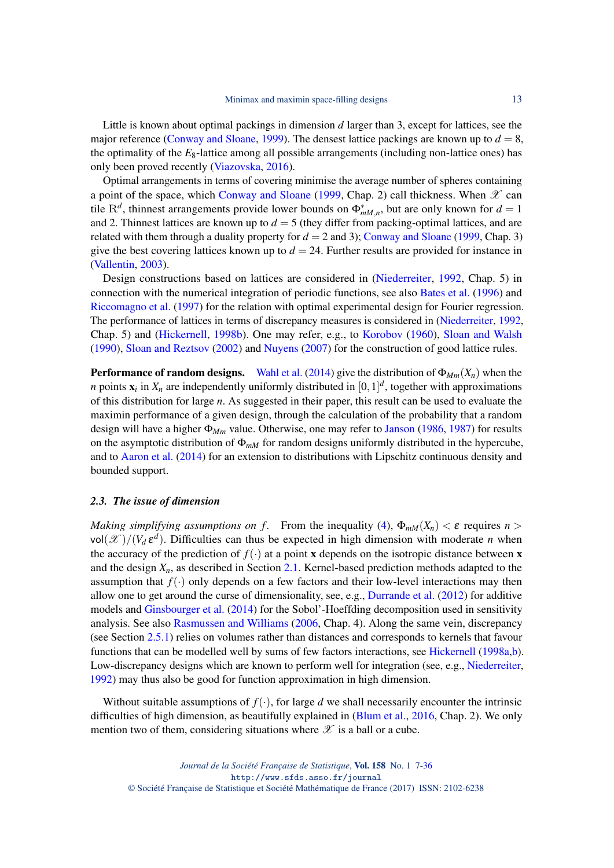Little is known about optimal packings in dimension *d* larger than 3, except for lattices, see the major reference [\(Conway and Sloane,](#page-26-4) [1999\)](#page-26-4). The densest lattice packings are known up to  $d = 8$ , the optimality of the  $E_8$ -lattice among all possible arrangements (including non-lattice ones) has only been proved recently [\(Viazovska,](#page-29-9) [2016\)](#page-29-9).

Optimal arrangements in terms of covering minimise the average number of spheres containing a point of the space, which [Conway and Sloane](#page-26-4) [\(1999,](#page-26-4) Chap. 2) call thickness. When  $\mathscr X$  can tile  $\mathbb{R}^d$ , thinnest arrangements provide lower bounds on  $\Phi^*_{mM,n}$ , but are only known for  $d=1$ and 2. Thinnest lattices are known up to  $d = 5$  (they differ from packing-optimal lattices, and are related with them through a duality property for  $d = 2$  and 3); [Conway and Sloane](#page-26-4) [\(1999,](#page-26-4) Chap. 3) give the best covering lattices known up to  $d = 24$ . Further results are provided for instance in [\(Vallentin,](#page-29-10) [2003\)](#page-29-10).

Design constructions based on lattices are considered in [\(Niederreiter,](#page-28-2) [1992,](#page-28-2) Chap. 5) in connection with the numerical integration of periodic functions, see also [Bates et al.](#page-26-5) [\(1996\)](#page-26-5) and [Riccomagno et al.](#page-29-11) [\(1997\)](#page-29-11) for the relation with optimal experimental design for Fourier regression. The performance of lattices in terms of discrepancy measures is considered in [\(Niederreiter,](#page-28-2) [1992,](#page-28-2) Chap. 5) and [\(Hickernell,](#page-27-7) [1998b\)](#page-27-7). One may refer, e.g., to [Korobov](#page-27-8) [\(1960\)](#page-27-8), [Sloan and Walsh](#page-29-12) [\(1990\)](#page-29-12), [Sloan and Reztsov](#page-29-13) [\(2002\)](#page-29-13) and [Nuyens](#page-28-4) [\(2007\)](#page-28-4) for the construction of good lattice rules.

**Performance of random designs.** [Wahl et al.](#page-29-14) [\(2014\)](#page-29-14) give the distribution of  $\Phi_{Mm}(X_n)$  when the *n* points  $\mathbf{x}_i$  in  $X_n$  are independently uniformly distributed in  $[0,1]^d$ , together with approximations of this distribution for large *n*. As suggested in their paper, this result can be used to evaluate the maximin performance of a given design, through the calculation of the probability that a random design will have a higher Φ*Mm* value. Otherwise, one may refer to [Janson](#page-27-9) [\(1986,](#page-27-9) [1987\)](#page-27-10) for results on the asymptotic distribution of Φ*mM* for random designs uniformly distributed in the hypercube, and to [Aaron et al.](#page-26-6) [\(2014\)](#page-26-6) for an extension to distributions with Lipschitz continuous density and bounded support.

## <span id="page-6-0"></span>*2.3. The issue of dimension*

*Making simplifying assumptions on f.* From the inequality [\(4\)](#page-4-3),  $\Phi_{mM}(X_n) < \varepsilon$  requires  $n >$  $vol(\mathscr{X})/(V_d \varepsilon^d)$ . Difficulties can thus be expected in high dimension with moderate *n* when the accuracy of the prediction of  $f(.)$  at a point **x** depends on the isotropic distance between **x** and the design *Xn*, as described in Section [2.1.](#page-2-1) Kernel-based prediction methods adapted to the assumption that  $f(\cdot)$  only depends on a few factors and their low-level interactions may then allow one to get around the curse of dimensionality, see, e.g., [Durrande et al.](#page-26-7) [\(2012\)](#page-26-7) for additive models and [Ginsbourger et al.](#page-27-11) [\(2014\)](#page-27-11) for the Sobol'-Hoeffding decomposition used in sensitivity analysis. See also [Rasmussen and Williams](#page-28-5) [\(2006,](#page-28-5) Chap. 4). Along the same vein, discrepancy (see Section [2.5.1\)](#page-11-0) relies on volumes rather than distances and corresponds to kernels that favour functions that can be modelled well by sums of few factors interactions, see [Hickernell](#page-27-12) [\(1998a,](#page-27-12)[b\)](#page-27-7). Low-discrepancy designs which are known to perform well for integration (see, e.g., [Niederreiter,](#page-28-2) [1992\)](#page-28-2) may thus also be good for function approximation in high dimension.

Without suitable assumptions of  $f(.)$ , for large *d* we shall necessarily encounter the intrinsic difficulties of high dimension, as beautifully explained in [\(Blum et al.,](#page-26-8) [2016,](#page-26-8) Chap. 2). We only mention two of them, considering situations where  $\mathscr X$  is a ball or a cube.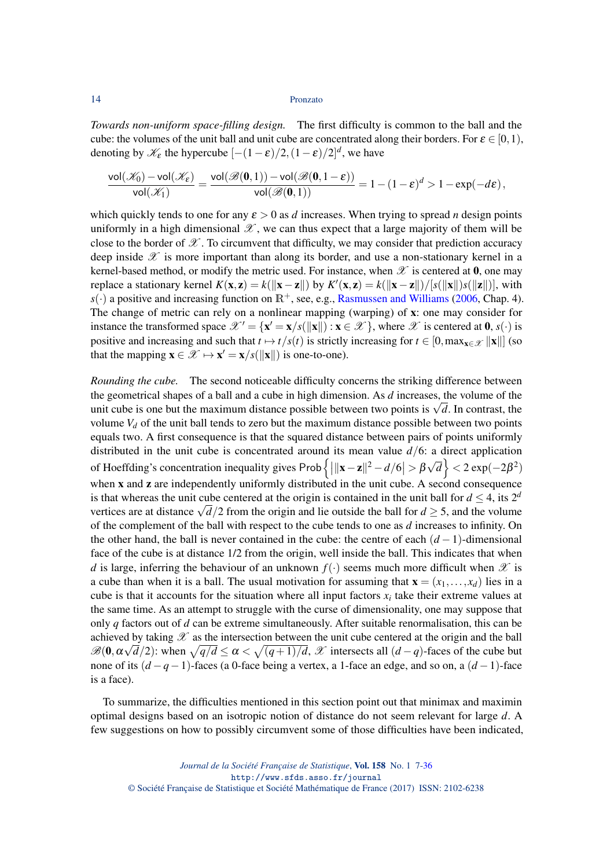*Towards non-uniform space-filling design.* The first difficulty is common to the ball and the cube: the volumes of the unit ball and unit cube are concentrated along their borders. For  $\varepsilon \in [0,1)$ , denoting by  $\mathcal{K}_{\varepsilon}$  the hypercube  $[-(1-\varepsilon)/2, (1-\varepsilon)/2]^d$ , we have

$$
\frac{\mathrm{vol}(\mathscr{K}_0)-\mathrm{vol}(\mathscr{K}_\epsilon)}{\mathrm{vol}(\mathscr{K}_1)}=\frac{\mathrm{vol}(\mathscr{B}(\mathbf{0},1))-\mathrm{vol}(\mathscr{B}(\mathbf{0},1-\epsilon))}{\mathrm{vol}(\mathscr{B}(\mathbf{0},1))}=1-(1-\epsilon)^d>1-\exp(-d\epsilon)\,,
$$

which quickly tends to one for any  $\varepsilon > 0$  as *d* increases. When trying to spread *n* design points uniformly in a high dimensional  $\mathscr X$ , we can thus expect that a large majority of them will be close to the border of  $\mathscr X$ . To circumvent that difficulty, we may consider that prediction accuracy deep inside  $\mathscr X$  is more important than along its border, and use a non-stationary kernel in a kernel-based method, or modify the metric used. For instance, when  $\mathscr X$  is centered at 0, one may replace a stationary kernel  $K(\mathbf{x}, \mathbf{z}) = k(||\mathbf{x} - \mathbf{z}||)$  by  $K'(\mathbf{x}, \mathbf{z}) = k(||\mathbf{x} - \mathbf{z}||)/[s(||\mathbf{x}||)s(||\mathbf{z}||)]$ , with  $s(.)$  a positive and increasing function on  $\mathbb{R}^+$ , see, e.g., [Rasmussen and Williams](#page-28-5) [\(2006,](#page-28-5) Chap. 4). The change of metric can rely on a nonlinear mapping (warping) of x: one may consider for instance the transformed space  $\mathscr{X}' = {\mathbf{x}' = \mathbf{x}/s(\|\mathbf{x}\|) : \mathbf{x} \in \mathscr{X}}$ , where  $\mathscr{X}$  is centered at  $\mathbf{0}, s(\cdot)$  is positive and increasing and such that  $t \mapsto t/s(t)$  is strictly increasing for  $t \in [0, \max_{x \in \mathcal{X}} ||x||]$  (so that the mapping  $\mathbf{x} \in \mathcal{X} \mapsto \mathbf{x}' = \mathbf{x}/s(||\mathbf{x}||)$  is one-to-one).

*Rounding the cube.* The second noticeable difficulty concerns the striking difference between the geometrical shapes of a ball and a cube in high dimension. As *d* increases, the volume of the the geometrical shapes of a ball and a cube in high dimension. As a increases, the volume of the unit cube is one but the maximum distance possible between two points is  $\sqrt{d}$ . In contrast, the volume  $V_d$  of the unit ball tends to zero but the maximum distance possible between two points equals two. A first consequence is that the squared distance between pairs of points uniformly distributed in the unit cube is concentrated around its mean value *d*/6: a direct application of Hoeffding's concentration inequality gives Prob $\left\{ ||\mathbf{x} - \mathbf{z}||^2 - d/6| > \beta \right\}$ √  $\overline{d}$ } < 2 exp(−2 $\beta$ <sup>2</sup>) when x and z are independently uniformly distributed in the unit cube. A second consequence is that whereas the unit cube centered at the origin is contained in the unit ball for  $d \leq 4$ , its  $2^d$ is that whereas the unit cube centered at the origin is contained in the unit ball for  $d \geq 4$ , its  $2<sup>2</sup>$  vertices are at distance  $\sqrt{d}/2$  from the origin and lie outside the ball for  $d \geq 5$ , and the volume of the complement of the ball with respect to the cube tends to one as *d* increases to infinity. On the other hand, the ball is never contained in the cube: the centre of each  $(d-1)$ -dimensional face of the cube is at distance 1/2 from the origin, well inside the ball. This indicates that when *d* is large, inferring the behaviour of an unknown  $f(\cdot)$  seems much more difficult when  $\mathscr X$  is a cube than when it is a ball. The usual motivation for assuming that  $\mathbf{x} = (x_1, \dots, x_d)$  lies in a cube is that it accounts for the situation where all input factors  $x_i$  take their extreme values at the same time. As an attempt to struggle with the curse of dimensionality, one may suppose that only *q* factors out of *d* can be extreme simultaneously. After suitable renormalisation, this can be achieved by taking  $\mathscr X$  as the intersection between the unit cube centered at the origin and the ball  $\mathscr{B}(0, \alpha\sqrt{d}/2)$ : when  $\sqrt{q/d} \le \alpha < \sqrt{(q+1)/d}$ ,  $\mathscr{X}$  intersects all  $(d-q)$ -faces of the cube but none of its (*d* −*q*−1)-faces (a 0-face being a vertex, a 1-face an edge, and so on, a (*d* −1)-face is a face).

To summarize, the difficulties mentioned in this section point out that minimax and maximin optimal designs based on an isotropic notion of distance do not seem relevant for large *d*. A few suggestions on how to possibly circumvent some of those difficulties have been indicated,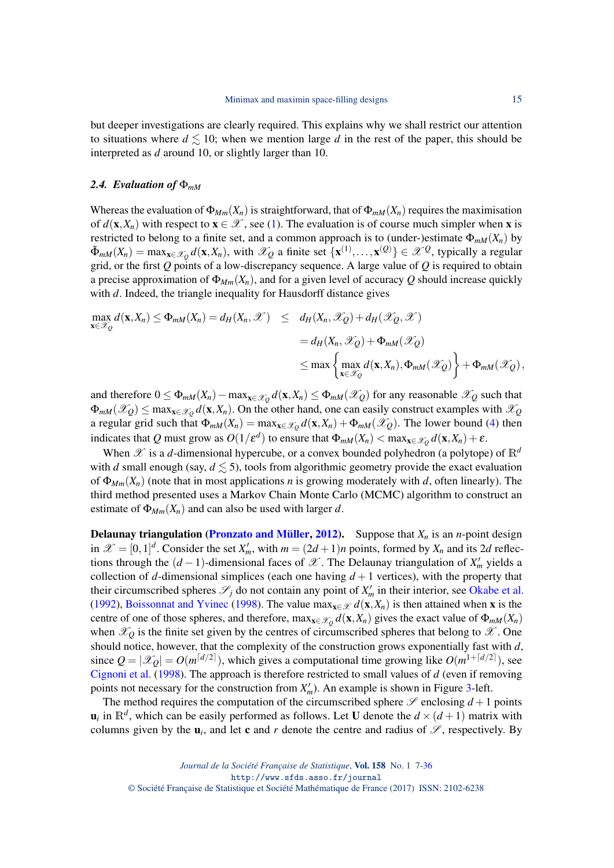but deeper investigations are clearly required. This explains why we shall restrict our attention to situations where  $d \leq 10$ ; when we mention large *d* in the rest of the paper, this should be interpreted as *d* around 10, or slightly larger than 10.

### <span id="page-8-0"></span>*2.4. Evaluation of* Φ*mM*

Whereas the evaluation of  $\Phi_{Mm}(X_n)$  is straightforward, that of  $\Phi_{mM}(X_n)$  requires the maximisation of  $d(\mathbf{x}, X_n)$  with respect to  $\mathbf{x} \in \mathcal{X}$ , see [\(1\)](#page-1-0). The evaluation is of course much simpler when **x** is restricted to belong to a finite set, and a common approach is to (under-)estimate  $\Phi_{mM}(X_n)$  by  $\tilde{\Phi}_{mM}(X_n) = \max_{\mathbf{x} \in \mathcal{X}_Q} d(\mathbf{x}, X_n)$ , with  $\mathcal{X}_Q$  a finite set  $\{\mathbf{x}^{(1)}, \dots, \mathbf{x}^{(Q)}\} \in \mathcal{X}^Q$ , typically a regular grid, or the first *Q* points of a low-discrepancy sequence. A large value of *Q* is required to obtain a precise approximation of  $\Phi_{Mm}(X_n)$ , and for a given level of accuracy Q should increase quickly with *d*. Indeed, the triangle inequality for Hausdorff distance gives

$$
\max_{\mathbf{x} \in \mathcal{X}_{Q}} d(\mathbf{x}, X_{n}) \leq \Phi_{mM}(X_{n}) = d_{H}(X_{n}, \mathcal{X}) \leq d_{H}(X_{n}, \mathcal{X}_{Q}) + d_{H}(\mathcal{X}_{Q}, \mathcal{X})
$$
\n
$$
= d_{H}(X_{n}, \mathcal{X}_{Q}) + \Phi_{mM}(\mathcal{X}_{Q})
$$
\n
$$
\leq \max \left\{ \max_{\mathbf{x} \in \mathcal{X}_{Q}} d(\mathbf{x}, X_{n}), \Phi_{mM}(\mathcal{X}_{Q}) \right\} + \Phi_{mM}(\mathcal{X}_{Q}),
$$

and therefore  $0 \le \Phi_{mM}(X_n) - \max_{\mathbf{x} \in \mathscr{X}_Q} d(\mathbf{x},X_n) \le \Phi_{mM}(\mathscr{X}_Q)$  for any reasonable  $\mathscr{X}_Q$  such that  $\Phi_{mM}(\mathscr{X}_Q) \le \max_{\mathbf{x} \in \mathscr{X}_Q} d(\mathbf{x}, X_n)$ . On the other hand, one can easily construct examples with  $\mathscr{X}_Q$ a regular grid such that  $\Phi_{mM}(X_n) = \max_{\mathbf{x} \in \mathcal{X}_Q} d(\mathbf{x}, X_n) + \Phi_{mM}(\mathcal{X}_Q)$ . The lower bound [\(4\)](#page-4-3) then indicates that  $Q$  must grow as  $O(1/\epsilon^d)$  to ensure that  $\Phi_{mM}(X_n) < \max_{\mathbf{x} \in \mathscr{X}_Q} d(\mathbf{x},X_n) + \epsilon$ .

When  $\mathscr X$  is a *d*-dimensional hypercube, or a convex bounded polyhedron (a polytope) of  $\mathbb R^d$ with *d* small enough (say,  $d \leq 5$ ), tools from algorithmic geometry provide the exact evaluation of  $\Phi_{Mm}(X_n)$  (note that in most applications *n* is growing moderately with *d*, often linearly). The third method presented uses a Markov Chain Monte Carlo (MCMC) algorithm to construct an estimate of  $\Phi_{Mm}(X_n)$  and can also be used with larger *d*.

**Delaunay triangulation [\(Pronzato and Müller,](#page-28-6) [2012\)](#page-28-6).** Suppose that  $X_n$  is an *n*-point design in  $\mathcal{X} = [0,1]^d$ . Consider the set  $X'_m$ , with  $m = (2d+1)n$  points, formed by  $X_n$  and its 2*d* reflections through the  $(d-1)$ -dimensional faces of  $\mathscr X$ . The Delaunay triangulation of  $X'_m$  yields a collection of *d*-dimensional simplices (each one having  $d+1$  vertices), with the property that their circumscribed spheres  $\mathscr{S}_j$  do not contain any point of  $X'_m$  in their interior, see [Okabe et al.](#page-28-7) [\(1992\)](#page-28-7), [Boissonnat and Yvinec](#page-26-9) [\(1998\)](#page-26-9). The value max $_{x \in \mathcal{X}} d(x, X_n)$  is then attained when x is the centre of one of those spheres, and therefore,  $\max_{x \in \mathcal{X}_Q} d(x, X_n)$  gives the exact value of  $\Phi_{mM}(X_n)$ when  $\mathcal{X}_Q$  is the finite set given by the centres of circumscribed spheres that belong to  $\mathcal{X}$ . One should notice, however, that the complexity of the construction grows exponentially fast with *d*, since  $Q = |\mathscr{X}_Q| = O(m^{\lceil d/2 \rceil})$ , which gives a computational time growing like  $O(m^{1+\lceil d/2 \rceil})$ , see [Cignoni et al.](#page-26-10) [\(1998\)](#page-26-10). The approach is therefore restricted to small values of *d* (even if removing points not necessary for the construction from  $X'_m$ ). An example is shown in Figure [3-](#page-10-0)left.

The method requires the computation of the circumscribed sphere  $\mathscr S$  enclosing  $d+1$  points  $\mathbf{u}_i$  in  $\mathbb{R}^d$ , which can be easily performed as follows. Let U denote the  $d \times (d+1)$  matrix with columns given by the  $\mathbf{u}_i$ , and let **c** and *r* denote the centre and radius of  $\mathcal{S}$ , respectively. By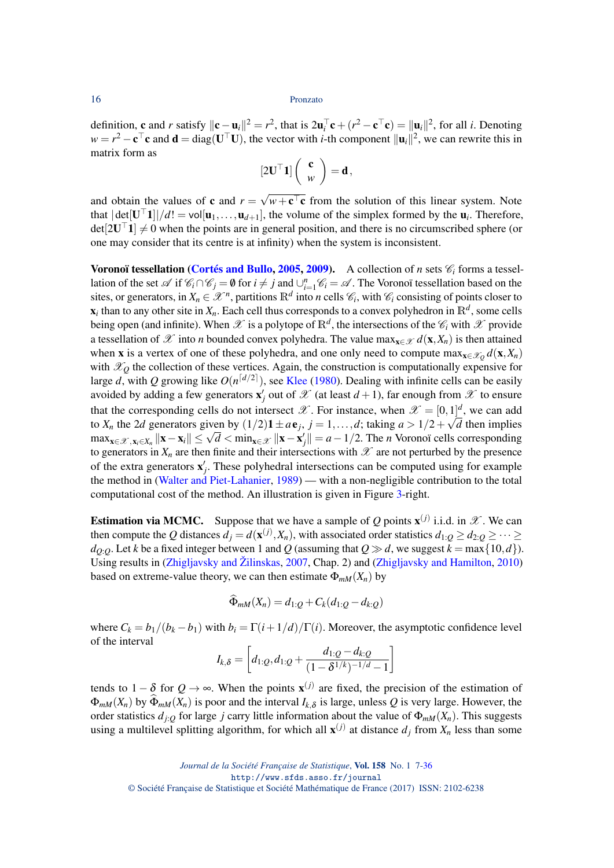definition, **c** and *r* satisfy  $\|\mathbf{c} - \mathbf{u}_i\|^2 = r^2$ , that is  $2\mathbf{u}_i^{\top}\mathbf{c} + (r^2 - \mathbf{c}^{\top}\mathbf{c}) = \|\mathbf{u}_i\|^2$ , for all *i*. Denoting  $w = r^2 - c^\top c$  and  $d = diag(U^\top U)$ , the vector with *i*-th component  $||u_i||^2$ , we can rewrite this in matrix form as

$$
[2\mathbf{U}^\top \mathbf{1}] \left( \begin{array}{c} \mathbf{c} \\ w \end{array} \right) = \mathbf{d},
$$

and obtain the values of **c** and  $r =$  $\sqrt{w+c}$  from the solution of this linear system. Note that  $|\det[\mathbf{U}^\top \mathbf{1}]|/d! = \text{vol}[\mathbf{u}_1,\dots,\mathbf{u}_{d+1}]$ , the volume of the simplex formed by the  $\mathbf{u}_i$ . Therefore,  $det[2U^{\top}1] \neq 0$  when the points are in general position, and there is no circumscribed sphere (or one may consider that its centre is at infinity) when the system is inconsistent.

Voronoï tessellation [\(Cortés and Bullo,](#page-26-11) [2005,](#page-26-11) [2009\)](#page-26-12). A collection of *n* sets  $\mathcal{C}_i$  forms a tessellation of the set  $\mathscr A$  if  $\mathscr C_i \cap \mathscr C_j = \emptyset$  for  $i \neq j$  and  $\bigcup_{i=1}^n \mathscr C_i = \mathscr A$ . The Voronoï tessellation based on the sites, or generators, in  $X_n \in \mathcal{X}^n$ , partitions  $\mathbb{R}^d$  into *n* cells  $\mathcal{C}_i$ , with  $\mathcal{C}_i$  consisting of points closer to  $\mathbf{x}_i$  than to any other site in  $X_n$ . Each cell thus corresponds to a convex polyhedron in  $\mathbb{R}^d$ , some cells being open (and infinite). When  $\mathscr X$  is a polytope of  $\mathbb R^d$ , the intersections of the  $\mathscr C_i$  with  $\mathscr X$  provide a tessellation of X into *n* bounded convex polyhedra. The value max $_{\mathbf{x} \in \mathcal{X}} d(\mathbf{x}, X_n)$  is then attained when **x** is a vertex of one of these polyhedra, and one only need to compute  $\max_{\mathbf{x} \in \mathcal{X}_Q} d(\mathbf{x}, X_n)$ with  $\mathcal{X}_0$  the collection of these vertices. Again, the construction is computationally expensive for large *d*, with Q growing like  $O(n^{\lceil d/2 \rceil})$ , see [Klee](#page-27-13) [\(1980\)](#page-27-13). Dealing with infinite cells can be easily avoided by adding a few generators  $\mathbf{x}'_j$  out of  $\mathscr X$  (at least  $d+1$ ), far enough from  $\mathscr X$  to ensure that the corresponding cells do not intersect  $\mathscr X$ . For instance, when  $\mathscr X = [0,1]^d$ , we can add to  $X_n$  the 2*d* generators given by  $(1/2)\mathbf{1} \pm a\mathbf{e}_j$ ,  $j = 1, \ldots, d$ ; taking  $a > 1/2 + \sqrt{d}$  then implies  $\max_{\mathbf{x} \in \mathcal{X}, \mathbf{x}_i \in X_n} ||\mathbf{x} - \mathbf{x}_i|| \le \sqrt{d} < \min_{\mathbf{x} \in \mathcal{X}} ||\mathbf{x} - \mathbf{x}'_j|| = a - 1/2$ . The *n* Voronoï cells corresponding to generators in  $X_n$  are then finite and their intersections with  $\mathscr X$  are not perturbed by the presence of the extra generators  $\mathbf{x}'_j$ . These polyhedral intersections can be computed using for example the method in [\(Walter and Piet-Lahanier,](#page-29-15) [1989\)](#page-29-15) — with a non-negligible contribution to the total computational cost of the method. An illustration is given in Figure [3-](#page-10-0)right.

**Estimation via MCMC.** Suppose that we have a sample of Q points  $\mathbf{x}^{(j)}$  i.i.d. in  $\mathcal{X}$ . We can then compute the *Q* distances  $d_j = d(\mathbf{x}^{(j)}, X_n)$ , with associated order statistics  $d_{1:Q} \geq d_{2:Q} \geq \cdots \geq d_{n:Q}$  $d_{O:O}$ . Let *k* be a fixed integer between 1 and *Q* (assuming that  $Q \gg d$ , we suggest  $k = \max\{10, d\}$ ). Using results in [\(Zhigljavsky and Žilinskas,](#page-29-16) [2007,](#page-29-16) Chap. 2) and [\(Zhigljavsky and Hamilton,](#page-29-17) [2010\)](#page-29-17) based on extreme-value theory, we can then estimate  $\Phi_{mM}(X_n)$  by

$$
\Phi_{mM}(X_n) = d_{1:Q} + C_k(d_{1:Q} - d_{k:Q})
$$

where  $C_k = b_1/(b_k - b_1)$  with  $b_i = \Gamma(i + 1/d)/\Gamma(i)$ . Moreover, the asymptotic confidence level of the interval

$$
I_{k,\delta} = \left[ d_{1:Q}, d_{1:Q} + \frac{d_{1:Q} - d_{k:Q}}{(1 - \delta^{1/k})^{-1/d} - 1} \right]
$$

tends to  $1 - \delta$  for  $Q \rightarrow \infty$ . When the points  $\mathbf{x}^{(j)}$  are fixed, the precision of the estimation of  $\Phi_{mM}(X_n)$  by  $\Phi_{mM}(X_n)$  is poor and the interval  $I_{k,\delta}$  is large, unless *Q* is very large. However, the order statistics  $d_{i}$  for large *j* carry little information about the value of  $\Phi_{mM}(X_n)$ . This suggests using a multilevel splitting algorithm, for which all  $\mathbf{x}^{(j)}$  at distance  $d_j$  from  $X_n$  less than some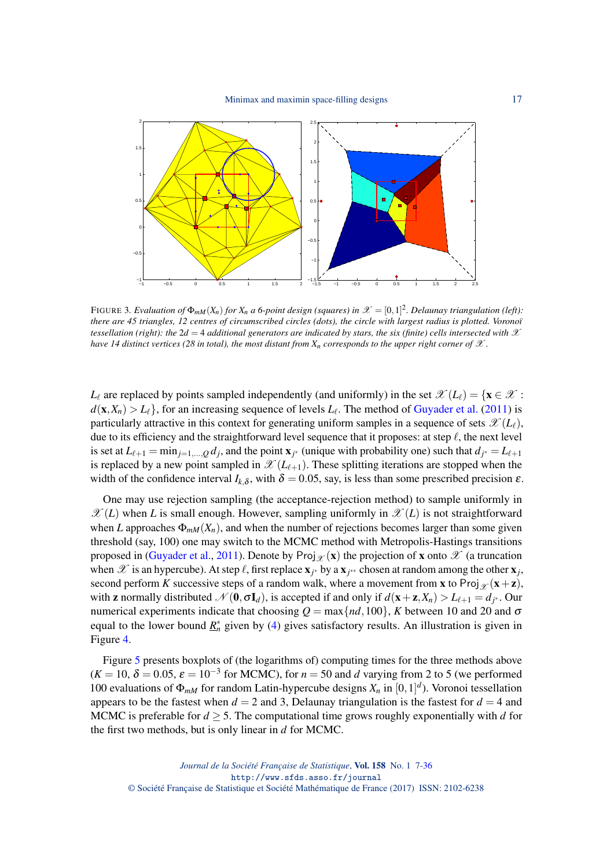

<span id="page-10-0"></span>FIGURE 3. Evaluation of  $\Phi_{mM}(X_n)$  for  $X_n$  a 6-point design (squares) in  $\mathscr{X} = [0,1]^2$ . Delaunay triangulation (left): *there are 45 triangles, 12 centres of circumscribed circles (dots), the circle with largest radius is plotted. Voronoï tessellation (right): the*  $2d = 4$  *additional generators are indicated by stars, the six (finite) cells intersected with*  $\mathcal X$ *have 14 distinct vertices (28 in total), the most distant from*  $X_n$  *corresponds to the upper right corner of*  $\mathscr X$ .

 $L_{\ell}$  are replaced by points sampled independently (and uniformly) in the set  $\mathscr{X}(L_{\ell}) = \{x \in \mathscr{X}$ :  $d(\mathbf{x}, X_n) > L_\ell$ , for an increasing sequence of levels  $L_\ell$ . The method of [Guyader et al.](#page-27-14) [\(2011\)](#page-27-14) is particularly attractive in this context for generating uniform samples in a sequence of sets  $\mathscr{X}(L_{\ell}),$ due to its efficiency and the straightforward level sequence that it proposes: at step  $\ell$ , the next level is set at  $L_{\ell+1} = \min_{j=1,\dots,Q} d_j$ , and the point  $\mathbf{x}_{j^*}$  (unique with probability one) such that  $d_{j^*} = L_{\ell+1}$ is replaced by a new point sampled in  $\mathscr{X}(L_{\ell+1})$ . These splitting iterations are stopped when the width of the confidence interval  $I_{k,\delta}$ , with  $\delta = 0.05$ , say, is less than some prescribed precision  $\varepsilon$ .

One may use rejection sampling (the acceptance-rejection method) to sample uniformly in  $\mathscr{X}(L)$  when *L* is small enough. However, sampling uniformly in  $\mathscr{X}(L)$  is not straightforward when *L* approaches  $\Phi_{mM}(X_n)$ , and when the number of rejections becomes larger than some given threshold (say, 100) one may switch to the MCMC method with Metropolis-Hastings transitions proposed in [\(Guyader et al.,](#page-27-14) [2011\)](#page-27-14). Denote by Proj  $\chi(\mathbf{x})$  the projection of **x** onto  $\mathcal{X}$  (a truncation when  $\mathscr X$  is an hypercube). At step  $\ell$ , first replace  ${\bf x}_{j^*}$  by a  ${\bf x}_{j^{**}}$  chosen at random among the other  ${\bf x}_j$ , second perform *K* successive steps of a random walk, where a movement from **x** to Proj<sub> $\mathcal{X}$  (**x**+**z**),</sub> with **z** normally distributed  $\mathcal{N}(\mathbf{0}, \sigma \mathbf{I}_d)$ , is accepted if and only if  $d(\mathbf{x} + \mathbf{z}, X_n) > L_{\ell+1} = d_{j^*}$ . Our numerical experiments indicate that choosing  $Q = \max\{nd, 100\}$ , *K* between 10 and 20 and  $\sigma$ equal to the lower bound  $\underline{R}_n^*$  given by [\(4\)](#page-4-3) gives satisfactory results. An illustration is given in Figure [4.](#page-11-1)

Figure [5](#page-11-2) presents boxplots of (the logarithms of) computing times for the three methods above  $(K = 10, \delta = 0.05, \varepsilon = 10^{-3}$  for MCMC), for  $n = 50$  and *d* varying from 2 to 5 (we performed 100 evaluations of  $\Phi_{mM}$  for random Latin-hypercube designs  $X_n$  in  $[0,1]^d$ ). Voronoi tessellation appears to be the fastest when  $d = 2$  and 3, Delaunay triangulation is the fastest for  $d = 4$  and MCMC is preferable for  $d \geq 5$ . The computational time grows roughly exponentially with *d* for the first two methods, but is only linear in *d* for MCMC.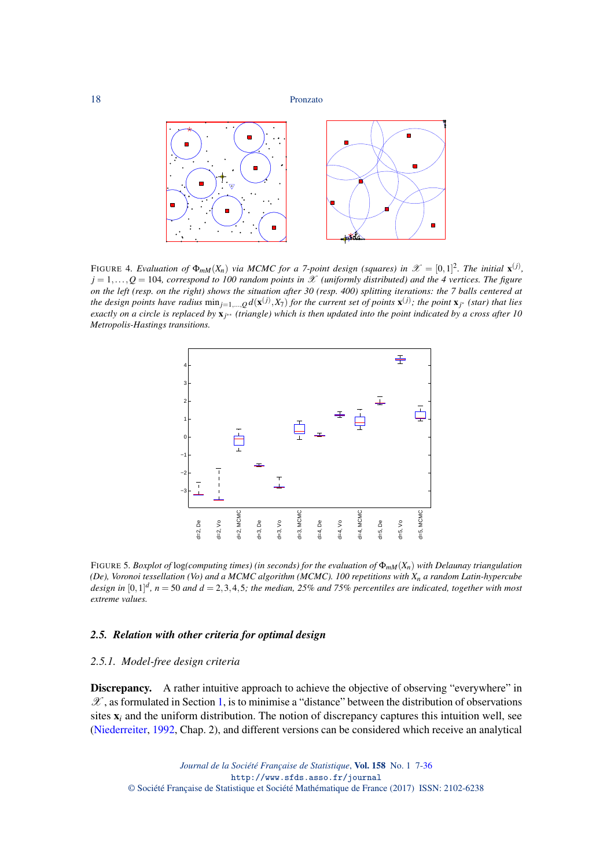

<span id="page-11-1"></span>FIGURE 4. Evaluation of  $\Phi_{mM}(X_n)$  via MCMC for a 7-point design (squares) in  $\mathscr{X} = [0,1]^2$ . The initial  $\mathbf{x}^{(j)}$ ,  $j = 1, \ldots, Q = 104$ *, correspond to 100 random points in* X *(uniformly distributed) and the 4 vertices. The figure on the left (resp. on the right) shows the situation after 30 (resp. 400) splitting iterations: the 7 balls centered at the design points have radius*  $\min_{j=1,...,Q} d(x^{(j)}, X_7)$  *for the current set of points*  $x^{(j)}$ ; *the point*  $x_{j^*}$  *(star) that lies exactly on a circle is replaced by* x*<sup>j</sup>* ∗∗ *(triangle) which is then updated into the point indicated by a cross after 10 Metropolis-Hastings transitions.*



<span id="page-11-2"></span>FIGURE 5*. Boxplot of* log*(computing times) (in seconds) for the evaluation of* Φ*mM*(*Xn*) *with Delaunay triangulation (De), Voronoi tessellation (Vo) and a MCMC algorithm (MCMC). 100 repetitions with Xn a random Latin-hypercube design in* [0,1] *d , n* = 50 *and d* = 2,3,4,5*; the median, 25% and 75% percentiles are indicated, together with most extreme values.*

## *2.5. Relation with other criteria for optimal design*

## <span id="page-11-0"></span>*2.5.1. Model-free design criteria*

Discrepancy. A rather intuitive approach to achieve the objective of observing "everywhere" in  $\mathscr{X}$ , as formulated in Section [1,](#page-0-1) is to minimise a "distance" between the distribution of observations sites x*<sup>i</sup>* and the uniform distribution. The notion of discrepancy captures this intuition well, see [\(Niederreiter,](#page-28-2) [1992,](#page-28-2) Chap. 2), and different versions can be considered which receive an analytical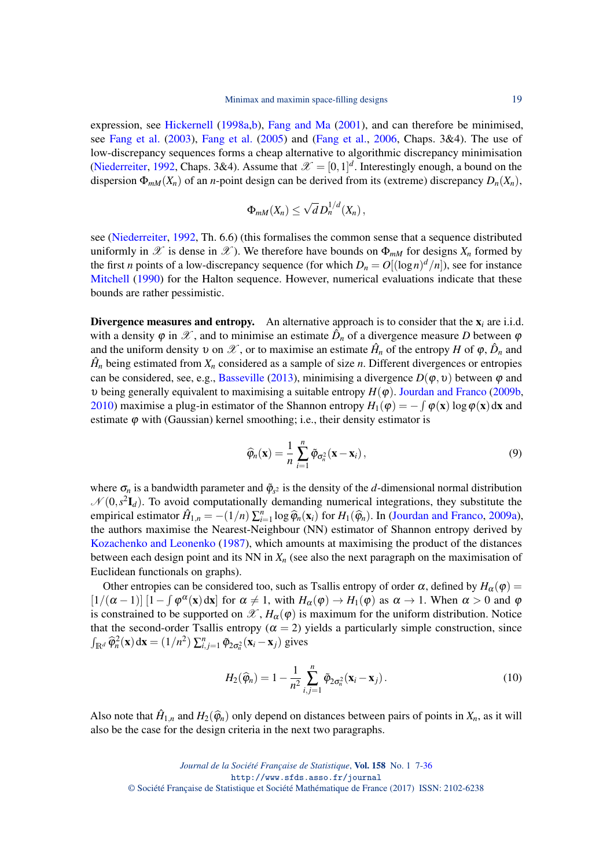expression, see [Hickernell](#page-27-12) [\(1998a](#page-27-12)[,b\)](#page-27-7), [Fang and Ma](#page-26-13) [\(2001\)](#page-26-13), and can therefore be minimised, see [Fang et al.](#page-26-14) [\(2003\)](#page-26-14), [Fang et al.](#page-27-15) [\(2005\)](#page-27-15) and [\(Fang et al.,](#page-26-15) [2006,](#page-26-15) Chaps. 3&4). The use of low-discrepancy sequences forms a cheap alternative to algorithmic discrepancy minimisation [\(Niederreiter,](#page-28-2) [1992,](#page-28-2) Chaps. 3&4). Assume that  $\mathcal{X} = [0,1]^d$ . Interestingly enough, a bound on the dispersion  $\Phi_{mM}(X_n)$  of an *n*-point design can be derived from its (extreme) discrepancy  $D_n(X_n)$ ,

$$
\Phi_{mM}(X_n)\leq \sqrt{d} D_n^{1/d}(X_n)\,
$$

see [\(Niederreiter,](#page-28-2) [1992,](#page-28-2) Th. 6.6) (this formalises the common sense that a sequence distributed uniformly in  $\mathscr X$  is dense in  $\mathscr X$ ). We therefore have bounds on  $\Phi_{mM}$  for designs  $X_n$  formed by the first *n* points of a low-discrepancy sequence (for which  $D_n = O[(\log n)^d/n]$ ), see for instance [Mitchell](#page-28-8) [\(1990\)](#page-28-8) for the Halton sequence. However, numerical evaluations indicate that these bounds are rather pessimistic.

Divergence measures and entropy. An alternative approach is to consider that the  $x_i$  are i.i.d. with a density  $\varphi$  in  $\mathscr{X}$ , and to minimise an estimate  $\hat{D}_n$  of a divergence measure *D* between  $\varphi$ and the uniform density v on  $\mathscr X$ , or to maximise an estimate  $\hat H_n$  of the entropy H of  $\varphi$ ,  $\hat D_n$  and  $\hat{H}_n$  being estimated from  $X_n$  considered as a sample of size *n*. Different divergences or entropies can be considered, see, e.g., [Basseville](#page-26-16) [\(2013\)](#page-26-16), minimising a divergence  $D(\varphi, \nu)$  between  $\varphi$  and υ being generally equivalent to maximising a suitable entropy *H*(ϕ). [Jourdan and Franco](#page-27-16) [\(2009b,](#page-27-16) [2010\)](#page-27-17) maximise a plug-in estimator of the Shannon entropy  $H_1(\varphi) = -\int \varphi(\mathbf{x}) \log \varphi(\mathbf{x}) d\mathbf{x}$  and estimate  $\varphi$  with (Gaussian) kernel smoothing; i.e., their density estimator is

<span id="page-12-1"></span>
$$
\widehat{\varphi}_n(\mathbf{x}) = \frac{1}{n} \sum_{i=1}^n \widetilde{\varphi}_{\sigma_n^2}(\mathbf{x} - \mathbf{x}_i), \qquad (9)
$$

where  $\sigma_n$  is a bandwidth parameter and  $\tilde{\varphi}_{s^2}$  is the density of the *d*-dimensional normal distribution  $\mathcal{N}(0, s^2\mathbf{I}_d)$ . To avoid computationally demanding numerical integrations, they substitute the empirical estimator  $\hat{H}_{1,n} = -(1/n) \sum_{i=1}^{n} \log \hat{\varphi}_n(\mathbf{x}_i)$  for  $H_1(\hat{\varphi}_n)$ . In [\(Jourdan and Franco,](#page-27-18) [2009a\)](#page-27-18), the outhors maximize the Meanet Neishbour (NN) estimator of Shannon estrony derived by the authors maximise the Nearest-Neighbour (NN) estimator of Shannon entropy derived by [Kozachenko and Leonenko](#page-27-19) [\(1987\)](#page-27-19), which amounts at maximising the product of the distances between each design point and its NN in  $X_n$  (see also the next paragraph on the maximisation of Euclidean functionals on graphs).

Other entropies can be considered too, such as Tsallis entropy of order  $\alpha$ , defined by  $H_{\alpha}(\varphi)$  =  $[1/(\alpha-1)] [1 - \int \varphi^{\alpha}(x) dx]$  for  $\alpha \neq 1$ , with  $H_{\alpha}(\varphi) \to H_1(\varphi)$  as  $\alpha \to 1$ . When  $\alpha > 0$  and  $\varphi$ is constrained to be supported on  $\mathscr{X}, H_{\alpha}(\varphi)$  is maximum for the uniform distribution. Notice that the second-order Tsallis entropy ( $\alpha = 2$ ) yields a particularly simple construction, since  $\int_{\mathbb{R}^d} \widehat{\varphi}_n^2(\mathbf{x}) d\mathbf{x} = (1/n^2) \sum_{i,j=1}^n \widehat{\varphi}_{2\sigma_n^2}(\mathbf{x}_i - \mathbf{x}_j)$  gives

<span id="page-12-0"></span>
$$
H_2(\widehat{\varphi}_n) = 1 - \frac{1}{n^2} \sum_{i,j=1}^n \widetilde{\varphi}_{2\sigma_n^2}(\mathbf{x}_i - \mathbf{x}_j).
$$
 (10)

Also note that  $\hat{H}_{1,n}$  and  $H_2(\hat{\varphi}_n)$  only depend on distances between pairs of points in  $X_n$ , as it will also be the case for the design criteria in the next two paragraphs.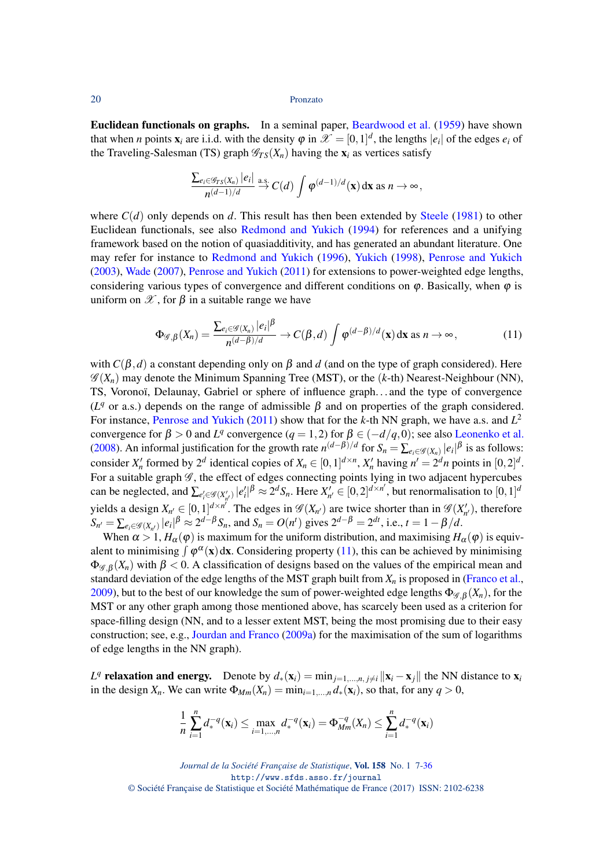Euclidean functionals on graphs. In a seminal paper, [Beardwood et al.](#page-26-17) [\(1959\)](#page-26-17) have shown that when *n* points  $\mathbf{x}_i$  are i.i.d. with the density  $\varphi$  in  $\mathcal{X} = [0,1]^d$ , the lengths  $|e_i|$  of the edges  $e_i$  of the Traveling-Salesman (TS) graph  $\mathcal{G}_{TS}(X_n)$  having the  $\mathbf{x}_i$  as vertices satisfy

$$
\frac{\sum_{e_i\in\mathscr{G}_{TS}(X_n)}|e_i|}{n^{(d-1)/d}} \stackrel{\text{a.s.}}{\to} C(d) \int \varphi^{(d-1)/d}(\mathbf{x}) \, \mathrm{d}\mathbf{x} \text{ as } n \to \infty,
$$

where  $C(d)$  only depends on *d*. This result has then been extended by [Steele](#page-29-18) [\(1981\)](#page-29-18) to other Euclidean functionals, see also [Redmond and Yukich](#page-28-9) [\(1994\)](#page-28-9) for references and a unifying framework based on the notion of quasiadditivity, and has generated an abundant literature. One may refer for instance to [Redmond and Yukich](#page-28-10) [\(1996\)](#page-28-10), [Yukich](#page-29-19) [\(1998\)](#page-29-19), [Penrose and Yukich](#page-28-11) [\(2003\)](#page-28-11), [Wade](#page-29-20) [\(2007\)](#page-29-20), [Penrose and Yukich](#page-28-12) [\(2011\)](#page-28-12) for extensions to power-weighted edge lengths, considering various types of convergence and different conditions on  $\varphi$ . Basically, when  $\varphi$  is uniform on  $\mathscr X$ , for  $\beta$  in a suitable range we have

<span id="page-13-0"></span>
$$
\Phi_{\mathscr{G},\beta}(X_n) = \frac{\sum_{e_i \in \mathscr{G}(X_n)} |e_i|^{\beta}}{n^{(d-\beta)/d}} \to C(\beta,d) \int \varphi^{(d-\beta)/d}(\mathbf{x}) \, \mathrm{d}\mathbf{x} \text{ as } n \to \infty,
$$
\n(11)

with  $C(\beta, d)$  a constant depending only on  $\beta$  and *d* (and on the type of graph considered). Here  $\mathscr{G}(X_n)$  may denote the Minimum Spanning Tree (MST), or the  $(k$ -th) Nearest-Neighbour (NN), TS, Voronoï, Delaunay, Gabriel or sphere of influence graph. . . and the type of convergence ( $L<sup>q</sup>$  or a.s.) depends on the range of admissible  $\beta$  and on properties of the graph considered. For instance, [Penrose and Yukich](#page-28-12) [\(2011\)](#page-28-12) show that for the *k*-th NN graph, we have a.s. and *L* 2 convergence for  $\beta > 0$  and  $L^q$  convergence  $(q = 1, 2)$  for  $\beta \in (-d/q, 0)$ ; see also [Leonenko et al.](#page-28-13) [\(2008\)](#page-28-13). An informal justification for the growth rate  $n^{(d-\beta)/d}$  for  $S_n = \sum_{e_i \in \mathcal{G}(X_n)} |e_i|^{\beta}$  is as follows: consider  $X'_n$  formed by  $2^d$  identical copies of  $X_n \in [0,1]^{d \times n}$ ,  $X'_n$  having  $n' = 2^dn$  points in  $[0,2]^d$ . For a suitable graph  $\mathscr G$ , the effect of edges connecting points lying in two adjacent hypercubes can be neglected, and  $\sum_{e'_i \in \mathcal{G}(X'_{n'})}|e'_i|^{\beta} \approx 2^d S_n$ . Here  $X'_{n'} \in [0,2]^{d \times n'}$ , but renormalisation to  $[0,1]^d$ yields a design  $X_{n'} \in [0,1]^{d \times n'}$ . The edges in  $\mathscr{G}(X_{n'})$  are twice shorter than in  $\mathscr{G}(X'_{n'})$ , therefore  $S_{n'} = \sum_{e_i \in \mathcal{G}(X_{n'})} |e_i|^{\beta} \approx 2^{d-\beta} S_n$ , and  $S_n = O(n^t)$  gives  $2^{d-\beta} = 2^{dt}$ , i.e.,  $t = 1 - \beta/d$ .

When  $\alpha > 1$ ,  $H_{\alpha}(\varphi)$  is maximum for the uniform distribution, and maximising  $H_{\alpha}(\varphi)$  is equivalent to minimising  $\int \varphi^{\alpha}(x) dx$ . Considering property [\(11\)](#page-13-0), this can be achieved by minimising  $\Phi_{\mathscr{G},\beta}(X_n)$  with  $\beta$  < 0. A classification of designs based on the values of the empirical mean and standard deviation of the edge lengths of the MST graph built from  $X_n$  is proposed in [\(Franco et al.,](#page-27-20) [2009\)](#page-27-20), but to the best of our knowledge the sum of power-weighted edge lengths  $\Phi_{\mathscr{G}_\beta}(X_n)$ , for the MST or any other graph among those mentioned above, has scarcely been used as a criterion for space-filling design (NN, and to a lesser extent MST, being the most promising due to their easy construction; see, e.g., [Jourdan and Franco](#page-27-18) [\(2009a\)](#page-27-18) for the maximisation of the sum of logarithms of edge lengths in the NN graph).

*L*<sup>q</sup> relaxation and energy. Denote by  $d_*(\mathbf{x}_i) = \min_{j=1,\dots,n, j\neq i} ||\mathbf{x}_i - \mathbf{x}_j||$  the NN distance to  $\mathbf{x}_i$ in the design  $X_n$ . We can write  $\Phi_{Mm}(X_n) = \min_{i=1,\dots,n} d_*(\mathbf{x}_i)$ , so that, for any  $q > 0$ ,

$$
\frac{1}{n}\sum_{i=1}^n d_*^{-q}(\mathbf{x}_i) \le \max_{i=1,\dots,n} d_*^{-q}(\mathbf{x}_i) = \Phi_{Mm}^{-q}(X_n) \le \sum_{i=1}^n d_*^{-q}(\mathbf{x}_i)
$$

*Journal de la Société Française de Statistique*, Vol. 158 No. 1 7[-36](#page-29-1) http://www.sfds.asso.fr/journal © Société Française de Statistique et Société Mathématique de France (2017) ISSN: 2102-6238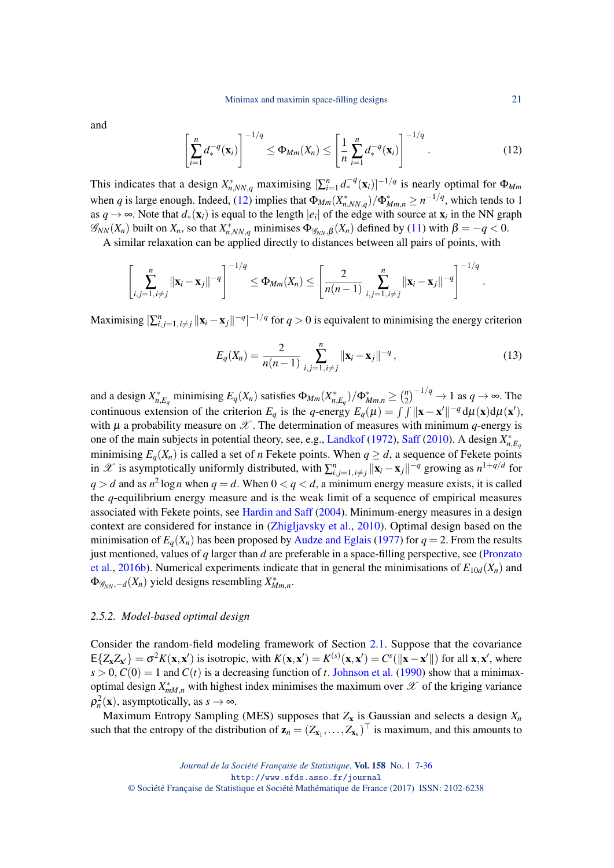and

<span id="page-14-1"></span>
$$
\left[\sum_{i=1}^{n} d_*^{-q}(\mathbf{x}_i)\right]^{-1/q} \leq \Phi_{Mm}(X_n) \leq \left[\frac{1}{n} \sum_{i=1}^{n} d_*^{-q}(\mathbf{x}_i)\right]^{-1/q}.
$$
 (12)

This indicates that a design  $X^*_{n,NN,q}$  maximising  $[\sum_{i=1}^n d_*^{-q}(\mathbf{x}_i)]^{-1/q}$  is nearly optimal for  $\Phi_{Mm}$ when *q* is large enough. Indeed, [\(12\)](#page-14-1) implies that  $\Phi_{Mm}(X_{n,NN,q}^*)/\Phi_{Mm,n}^* \ge n^{-1/q}$ , which tends to 1 as  $q \to \infty$ . Note that  $d_*(\mathbf{x}_i)$  is equal to the length  $|e_i|$  of the edge with source at  $\mathbf{x}_i$  in the NN graph  $\mathscr{G}_{NN}(X_n)$  built on  $X_n$ , so that  $X_{n,NN,q}^*$  minimises  $\Phi_{\mathscr{G}_{NN},\beta}(X_n)$  defined by [\(11\)](#page-13-0) with  $\beta = -q < 0$ .

A similar relaxation can be applied directly to distances between all pairs of points, with

$$
\left[\sum_{i,j=1, i\neq j}^{n} ||\mathbf{x}_{i}-\mathbf{x}_{j}||^{-q}\right]^{-1/q} \leq \Phi_{Mm}(X_{n}) \leq \left[\frac{2}{n(n-1)}\sum_{i,j=1, i\neq j}^{n} ||\mathbf{x}_{i}-\mathbf{x}_{j}||^{-q}\right]^{-1/q}.
$$

Maximising  $\sum_{i,j=1, i\neq j}^{n} ||\mathbf{x}_i - \mathbf{x}_j||^{-q}$  <sup>-1/*q*</sup> for *q* > 0 is equivalent to minimising the energy criterion

<span id="page-14-2"></span>
$$
E_q(X_n) = \frac{2}{n(n-1)} \sum_{i,j=1, i \neq j}^n ||\mathbf{x}_i - \mathbf{x}_j||^{-q},
$$
\n(13)

and a design  $X_{n,E_q}^*$  minimising  $E_q(X_n)$  satisfies  $\Phi_{Mm}(X_{n,E_q}^*)/\Phi_{Mm,n}^* \geq \binom{n}{2}$  $\binom{n}{2}^{-1/q} \to 1$  as  $q \to \infty$ . The continuous extension of the criterion  $E_q$  is the *q*-energy  $E_q(\mu) = \int \int ||\mathbf{x} - \mathbf{x}'||^{-q} d\mu(\mathbf{x}) d\mu(\mathbf{x}')$ , with  $\mu$  a probability measure on  $\mathscr X$ . The determination of measures with minimum *q*-energy is one of the main subjects in potential theory, see, e.g., [Landkof](#page-27-21) [\(1972\)](#page-27-21), [Saff](#page-29-21) [\(2010\)](#page-29-21). A design  $X_{n,E_q}^*$ minimising  $E_q(X_n)$  is called a set of *n* Fekete points. When  $q \ge d$ , a sequence of Fekete points in  $\mathscr X$  is asymptotically uniformly distributed, with  $\sum_{i,j=1, i\neq j}^n ||\mathbf{x}_i - \mathbf{x}_j||^{-q}$  growing as  $n^{1+q/d}$  for  $q > d$  and as  $n^2 \log n$  when  $q = d$ . When  $0 < q < d$ , a minimum energy measure exists, it is called the *q*-equilibrium energy measure and is the weak limit of a sequence of empirical measures associated with Fekete points, see [Hardin and Saff](#page-27-22) [\(2004\)](#page-27-22). Minimum-energy measures in a design context are considered for instance in [\(Zhigljavsky et al.,](#page-29-22) [2010\)](#page-29-22). Optimal design based on the minimisation of  $E_q(X_n)$  has been proposed by [Audze and Eglais](#page-26-18) [\(1977\)](#page-26-18) for  $q = 2$ . From the results just mentioned, values of *q* larger than *d* are preferable in a space-filling perspective, see [\(Pronzato](#page-28-14) [et al.,](#page-28-14) [2016b\)](#page-28-14). Numerical experiments indicate that in general the minimisations of  $E_{10d}(X_n)$  and  $\Phi_{\mathscr{G}_{NN},-d}(X_n)$  yield designs resembling  $X^*_{Mm,n}$ .

## <span id="page-14-0"></span>*2.5.2. Model-based optimal design*

Consider the random-field modeling framework of Section [2.1.](#page-2-1) Suppose that the covariance  $E\{Z_{\mathbf{x}}Z_{\mathbf{x}'}\} = \sigma^2 K(\mathbf{x}, \mathbf{x}')$  is isotropic, with  $K(\mathbf{x}, \mathbf{x}') = K^{(s)}(\mathbf{x}, \mathbf{x}') = C^s(||\mathbf{x} - \mathbf{x}'||)$  for all  $\mathbf{x}, \mathbf{x}'$ , where  $s > 0$ ,  $C(0) = 1$  and  $C(t)$  is a decreasing function of *t*. [Johnson et al.](#page-27-4) [\(1990\)](#page-27-4) show that a minimaxoptimal design  $X_{mM,n}^*$  with highest index minimises the maximum over  $\mathscr X$  of the kriging variance  $\rho_n^2(\mathbf{x})$ , asymptotically, as  $s \to \infty$ .

Maximum Entropy Sampling (MES) supposes that  $Z_x$  is Gaussian and selects a design  $X_n$ such that the entropy of the distribution of  $\mathbf{z}_n = (Z_{\mathbf{x}_1}, \dots, Z_{\mathbf{x}_n})^\top$  is maximum, and this amounts to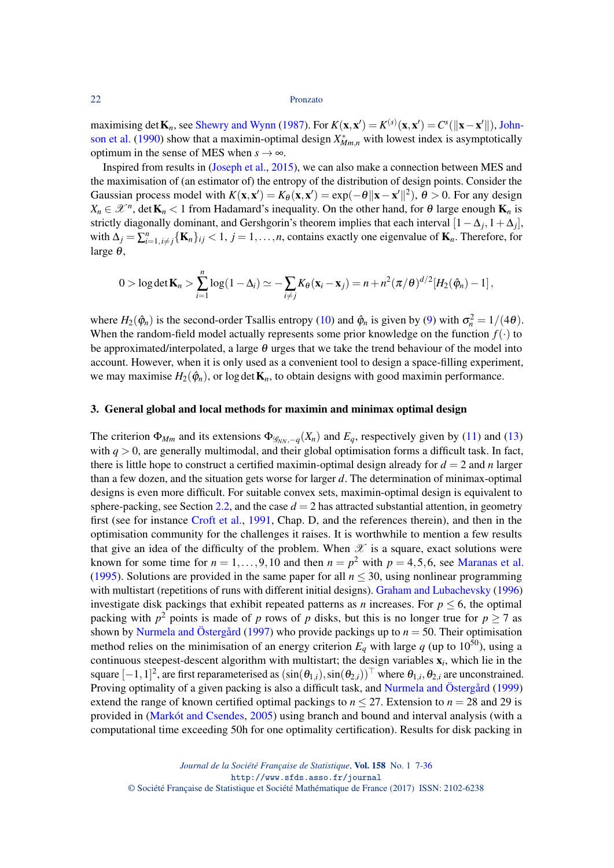maximising det  $\mathbf{K}_n$ , see [Shewry and Wynn](#page-29-5) [\(1987\)](#page-29-5). For  $K(\mathbf{x}, \mathbf{x}') = K^{(s)}(\mathbf{x}, \mathbf{x}') = C^s(||\mathbf{x} - \mathbf{x}'||)$ , [John](#page-27-4)[son et al.](#page-27-4) [\(1990\)](#page-27-4) show that a maximin-optimal design  $X^*_{Mm,n}$  with lowest index is asymptotically optimum in the sense of MES when  $s \to \infty$ .

Inspired from results in [\(Joseph et al.,](#page-27-23) [2015\)](#page-27-23), we can also make a connection between MES and the maximisation of (an estimator of) the entropy of the distribution of design points. Consider the Gaussian process model with  $K(\mathbf{x}, \mathbf{x}') = K_\theta(\mathbf{x}, \mathbf{x}') = \exp(-\theta ||\mathbf{x} - \mathbf{x}'||^2)$ ,  $\theta > 0$ . For any design  $X_n \in \mathcal{X}^n$ , det  $\mathbf{K}_n < 1$  from Hadamard's inequality. On the other hand, for  $\theta$  large enough  $\mathbf{K}_n$  is strictly diagonally dominant, and Gershgorin's theorem implies that each interval  $[1 - \Delta_j, 1 + \Delta_j]$ , with  $\Delta_j = \sum_{i=1, i \neq j}^n {\{\mathbf{K}_n\}}_{ij} < 1, j = 1, \ldots, n$ , contains exactly one eigenvalue of  $\mathbf{K}_n$ . Therefore, for large  $\theta$ ,

$$
0 > \log \det \mathbf{K}_n > \sum_{i=1}^n \log(1-\Delta_i) \simeq -\sum_{i \neq j} K_\theta(\mathbf{x}_i - \mathbf{x}_j) = n + n^2 (\pi/\theta)^{d/2} [H_2(\hat{\varphi}_n) - 1],
$$

where  $H_2(\hat{\varphi}_n)$  is the second-order Tsallis entropy [\(10\)](#page-12-0) and  $\hat{\varphi}_n$  is given by [\(9\)](#page-12-1) with  $\sigma_n^2 = 1/(4\theta)$ . When the random-field model actually represents some prior knowledge on the function  $f(\cdot)$  to be approximated/interpolated, a large  $\theta$  urges that we take the trend behaviour of the model into account. However, when it is only used as a convenient tool to design a space-filling experiment, we may maximise  $H_2(\hat{\varphi}_n)$ , or log det  $\mathbf{K}_n$ , to obtain designs with good maximin performance.

#### 3. General global and local methods for maximin and minimax optimal design

The criterion  $\Phi_{Mm}$  and its extensions  $\Phi_{\mathscr{G}_{NN},-q}(X_n)$  and  $E_q$ , respectively given by [\(11\)](#page-13-0) and [\(13\)](#page-14-2) with  $q > 0$ , are generally multimodal, and their global optimisation forms a difficult task. In fact, there is little hope to construct a certified maximin-optimal design already for  $d = 2$  and *n* larger than a few dozen, and the situation gets worse for larger *d*. The determination of minimax-optimal designs is even more difficult. For suitable convex sets, maximin-optimal design is equivalent to sphere-packing, see Section [2.2,](#page-3-0) and the case  $d = 2$  has attracted substantial attention, in geometry first (see for instance [Croft et al.,](#page-26-19) [1991,](#page-26-19) Chap. D, and the references therein), and then in the optimisation community for the challenges it raises. It is worthwhile to mention a few results that give an idea of the difficulty of the problem. When  $\mathscr X$  is a square, exact solutions were known for some time for  $n = 1, \ldots, 9, 10$  and then  $n = p^2$  with  $p = 4, 5, 6$ , see [Maranas et al.](#page-28-15) [\(1995\)](#page-28-15). Solutions are provided in the same paper for all  $n < 30$ , using nonlinear programming with multistart (repetitions of runs with different initial designs). [Graham and Lubachevsky](#page-27-24) [\(1996\)](#page-27-24) investigate disk packings that exhibit repeated patterns as *n* increases. For  $p \le 6$ , the optimal packing with  $p^2$  points is made of *p* rows of *p* disks, but this is no longer true for  $p \ge 7$  as shown by [Nurmela and Östergård](#page-28-16) [\(1997\)](#page-28-16) who provide packings up to *n* = 50. Their optimisation method relies on the minimisation of an energy criterion  $E_q$  with large q (up to 10<sup>50</sup>), using a continuous steepest-descent algorithm with multistart; the design variables x*<sup>i</sup>* , which lie in the square  $[-1,1]^2$ , are first reparameterised as  $(\sin(\theta_{1,i}),\sin(\theta_{2,i}))^\top$  where  $\theta_{1,i},\theta_{2,i}$  are unconstrained. Proving optimality of a given packing is also a difficult task, and [Nurmela and Östergård](#page-28-17) [\(1999\)](#page-28-17) extend the range of known certified optimal packings to  $n \leq 27$ . Extension to  $n = 28$  and 29 is provided in [\(Markót and Csendes,](#page-28-18) [2005\)](#page-28-18) using branch and bound and interval analysis (with a computational time exceeding 50h for one optimality certification). Results for disk packing in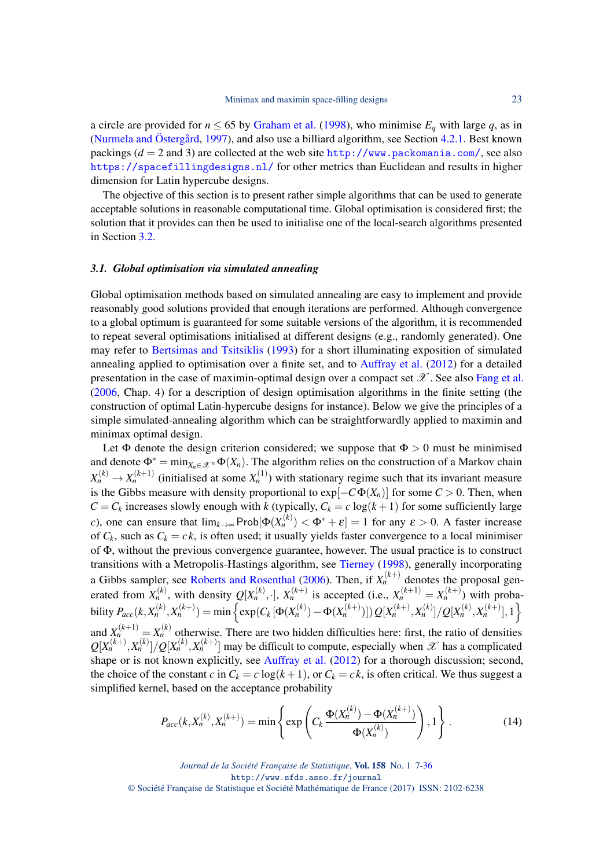a circle are provided for  $n \le 65$  by [Graham et al.](#page-27-25) [\(1998\)](#page-27-25), who minimise  $E_q$  with large q, as in [\(Nurmela and Östergård,](#page-28-16) [1997\)](#page-28-16), and also use a billiard algorithm, see Section [4.2.1.](#page-20-0) Best known packings  $(d = 2$  and 3) are collected at the web site <http://www.packomania.com/>, see also <https://spacefillingdesigns.nl/> for other metrics than Euclidean and results in higher dimension for Latin hypercube designs.

The objective of this section is to present rather simple algorithms that can be used to generate acceptable solutions in reasonable computational time. Global optimisation is considered first; the solution that it provides can then be used to initialise one of the local-search algorithms presented in Section [3.2.](#page-17-0)

#### <span id="page-16-1"></span>*3.1. Global optimisation via simulated annealing*

Global optimisation methods based on simulated annealing are easy to implement and provide reasonably good solutions provided that enough iterations are performed. Although convergence to a global optimum is guaranteed for some suitable versions of the algorithm, it is recommended to repeat several optimisations initialised at different designs (e.g., randomly generated). One may refer to [Bertsimas and Tsitsiklis](#page-26-20) [\(1993\)](#page-26-20) for a short illuminating exposition of simulated annealing applied to optimisation over a finite set, and to [Auffray et al.](#page-26-3) [\(2012\)](#page-26-3) for a detailed presentation in the case of maximin-optimal design over a compact set  $\mathscr X$ . See also [Fang et al.](#page-26-15) [\(2006,](#page-26-15) Chap. 4) for a description of design optimisation algorithms in the finite setting (the construction of optimal Latin-hypercube designs for instance). Below we give the principles of a simple simulated-annealing algorithm which can be straightforwardly applied to maximin and minimax optimal design.

Let  $\Phi$  denote the design criterion considered; we suppose that  $\Phi > 0$  must be minimised and denote  $\Phi^* = \min_{X_n \in \mathcal{X}^n} \Phi(X_n)$ . The algorithm relies on the construction of a Markov chain  $X_n^{(k)} \to X_n^{(k+1)}$  (initialised at some  $X_n^{(1)}$ ) with stationary regime such that its invariant measure is the Gibbs measure with density proportional to  $exp[-C\Phi(X_n)]$  for some  $C > 0$ . Then, when  $C = C_k$  increases slowly enough with *k* (typically,  $C_k = c \log(k+1)$  for some sufficiently large *c*), one can ensure that  $\lim_{k\to\infty}$  Prob $[\Phi(X_n^{(k)}) < \Phi^* + \varepsilon] = 1$  for any  $\varepsilon > 0$ . A faster increase of  $C_k$ , such as  $C_k = ck$ , is often used; it usually yields faster convergence to a local minimiser of Φ, without the previous convergence guarantee, however. The usual practice is to construct transitions with a Metropolis-Hastings algorithm, see [Tierney](#page-29-23) [\(1998\)](#page-29-23), generally incorporating a Gibbs sampler, see [Roberts and Rosenthal](#page-29-24) [\(2006\)](#page-29-24). Then, if  $X_n^{(k+)}$  denotes the proposal generated from  $X_n^{(k)}$ , with density  $Q[X_n^{(k)},\cdot]$ ,  $X_n^{(k+1)}$  is accepted (i.e.,  $X_n^{(k+1)} = X_n^{(k+1)}$ ) with probability  $P_{acc}(k, X_n^{(k)}, X_n^{(k+)}) = \min \left\{ \exp(C_k \left[ \Phi(X_n^{(k)}) - \Phi(X_n^{(k+)}) \right]) Q[X_n^{(k+)}, X_n^{(k)}]/Q[X_n^{(k)}, X_n^{(k+)}], 1 \right\}$ and  $X_n^{(k+1)} = X_n^{(k)}$  otherwise. There are two hidden difficulties here: first, the ratio of densities  $Q[X_n^{(k+1)}, X_n^{(k)}]/Q[X_n^{(k)}, X_n^{(k+1)}]$  may be difficult to compute, especially when  $\mathscr X$  has a complicated shape or is not known explicitly, see [Auffray et al.](#page-26-3)  $(2012)$  for a thorough discussion; second, the choice of the constant *c* in  $C_k = c \log(k+1)$ , or  $C_k = ck$ , is often critical. We thus suggest a simplified kernel, based on the acceptance probability

<span id="page-16-0"></span>
$$
P_{acc}(k, X_n^{(k)}, X_n^{(k+)}) = \min\left\{\exp\left(C_k \frac{\Phi(X_n^{(k)}) - \Phi(X_n^{(k+)})}{\Phi(X_n^{(k)})}\right), 1\right\}.
$$
 (14)

*Journal de la Société Française de Statistique*, Vol. 158 No. 1 7[-36](#page-29-1) http://www.sfds.asso.fr/journal © Société Française de Statistique et Société Mathématique de France (2017) ISSN: 2102-6238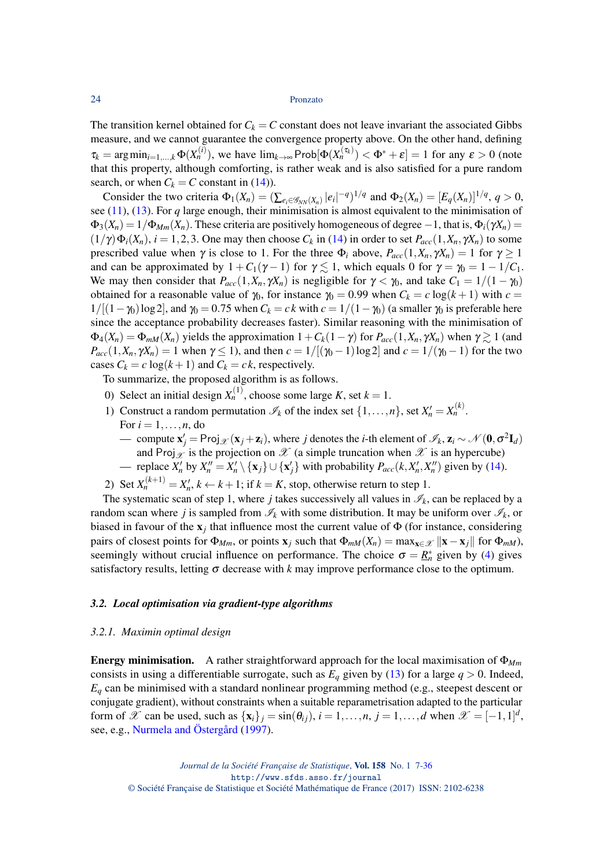The transition kernel obtained for  $C_k = C$  constant does not leave invariant the associated Gibbs measure, and we cannot guarantee the convergence property above. On the other hand, defining  $\tau_k = \arg \min_{i=1,\dots,k} \Phi(X_n^{(i)})$ , we have  $\lim_{k \to \infty} \text{Prob}[\Phi(X_n^{(\tau_k)}) < \Phi^* + \varepsilon] = 1$  for any  $\varepsilon > 0$  (note that this property, although comforting, is rather weak and is also satisfied for a pure random search, or when  $C_k = C$  constant in [\(14\)](#page-16-0)).

Consider the two criteria  $\Phi_1(X_n) = (\sum_{e_i \in \mathcal{G}_{NN}(X_n)} |e_i|^{-q})^{1/q}$  and  $\Phi_2(X_n) = [E_q(X_n)]^{1/q}, q > 0$ , see  $(11)$ ,  $(13)$ . For *q* large enough, their minimisation is almost equivalent to the minimisation of  $\Phi_3(X_n) = 1/\Phi_{Mm}(X_n)$ . These criteria are positively homogeneous of degree  $-1$ , that is,  $\Phi_i(\gamma X_n)$  $(1/\gamma)\Phi_i(X_n)$ ,  $i = 1, 2, 3$ . One may then choose  $C_k$  in [\(14\)](#page-16-0) in order to set  $P_{acc}(1, X_n, \gamma X_n)$  to some prescribed value when  $\gamma$  is close to 1. For the three  $\Phi_i$  above,  $P_{acc}(1, X_n, \gamma X_n) = 1$  for  $\gamma \ge 1$ and can be approximated by  $1 + C_1(\gamma - 1)$  for  $\gamma \leq 1$ , which equals 0 for  $\gamma = \gamma_0 = 1 - 1/C_1$ . We may then consider that  $P_{acc}(1, X_n, \gamma X_n)$  is negligible for  $\gamma < \gamma_0$ , and take  $C_1 = 1/(1 - \gamma_0)$ obtained for a reasonable value of  $\gamma_0$ , for instance  $\gamma_0 = 0.99$  when  $C_k = c \log(k+1)$  with  $c =$  $1/[(1-\gamma_0)\log 2]$ , and  $\gamma_0 = 0.75$  when  $C_k = ck$  with  $c = 1/(1-\gamma_0)$  (a smaller  $\gamma_0$  is preferable here since the acceptance probability decreases faster). Similar reasoning with the minimisation of  $\Phi_4(X_n) = \Phi_{mM}(X_n)$  yields the approximation  $1 + C_k(1 - \gamma)$  for  $P_{acc}(1, X_n, \gamma X_n)$  when  $\gamma \geq 1$  (and  $P_{acc}(1, X_n, \gamma X_n) = 1$  when  $\gamma \le 1$ , and then  $c = 1/[(\gamma_0 - 1) \log 2]$  and  $c = 1/(\gamma_0 - 1)$  for the two cases  $C_k = c \log(k+1)$  and  $C_k = ck$ , respectively.

To summarize, the proposed algorithm is as follows.

- 0) Select an initial design  $X_n^{(1)}$ , choose some large *K*, set  $k = 1$ .
- 1) Construct a random permutation  $\mathcal{I}_k$  of the index set  $\{1,\ldots,n\}$ , set  $X'_n = X_n^{(k)}$ . For  $i = 1, \ldots, n$ , do
	- compute  $\mathbf{x}'_j$  = Proj<sub>*X*</sub> (**x**<sub>*j*</sub> + **z**<sub>*i*</sub>), where *j* denotes the *i*-th element of  $\mathscr{I}_k$ , **z**<sub>*i*</sub> ∼ ∕  $\mathscr{N}(\mathbf{0}, \sigma^2 \mathbf{I}_d)$ and Proj<sub>X</sub> is the projection on X (a simple truncation when X is an hypercube)
	- replace  $X'_n$  by  $X''_n = X'_n \setminus \{x_j\} \cup \{x'_j\}$  with probability  $P_{acc}(k, X'_n, X''_n)$  given by [\(14\)](#page-16-0).
- 2) Set  $X_n^{(k+1)} = X_n^{\prime}, k \leftarrow k+1$ ; if  $k = K$ , stop, otherwise return to step 1.

The systematic scan of step 1, where *j* takes successively all values in  $\mathcal{I}_k$ , can be replaced by a random scan where *j* is sampled from  $\mathcal{I}_k$  with some distribution. It may be uniform over  $\mathcal{I}_k$ , or biased in favour of the  $x_j$  that influence most the current value of  $\Phi$  (for instance, considering pairs of closest points for  $\Phi_{Mm}$ , or points  $\mathbf{x}_i$  such that  $\Phi_{mM}(X_n) = \max_{\mathbf{x} \in \mathcal{X}} \|\mathbf{x} - \mathbf{x}_i\|$  for  $\Phi_{mM}$ ), seemingly without crucial influence on performance. The choice  $\sigma = \underline{R}_n^*$  given by [\(4\)](#page-4-3) gives satisfactory results, letting  $\sigma$  decrease with *k* may improve performance close to the optimum.

## <span id="page-17-0"></span>*3.2. Local optimisation via gradient-type algorithms*

#### <span id="page-17-1"></span>*3.2.1. Maximin optimal design*

Energy minimisation. A rather straightforward approach for the local maximisation of Φ*Mm* consists in using a differentiable surrogate, such as  $E_q$  given by [\(13\)](#page-14-2) for a large  $q > 0$ . Indeed, *E<sup>q</sup>* can be minimised with a standard nonlinear programming method (e.g., steepest descent or conjugate gradient), without constraints when a suitable reparametrisation adapted to the particular form of  $\mathscr X$  can be used, such as  $\{x_i\}_j = \sin(\theta_{ij}), i = 1, \ldots, n, j = 1, \ldots, d$  when  $\mathscr X = [-1,1]^d$ , see, e.g., [Nurmela and Östergård](#page-28-16) [\(1997\)](#page-28-16).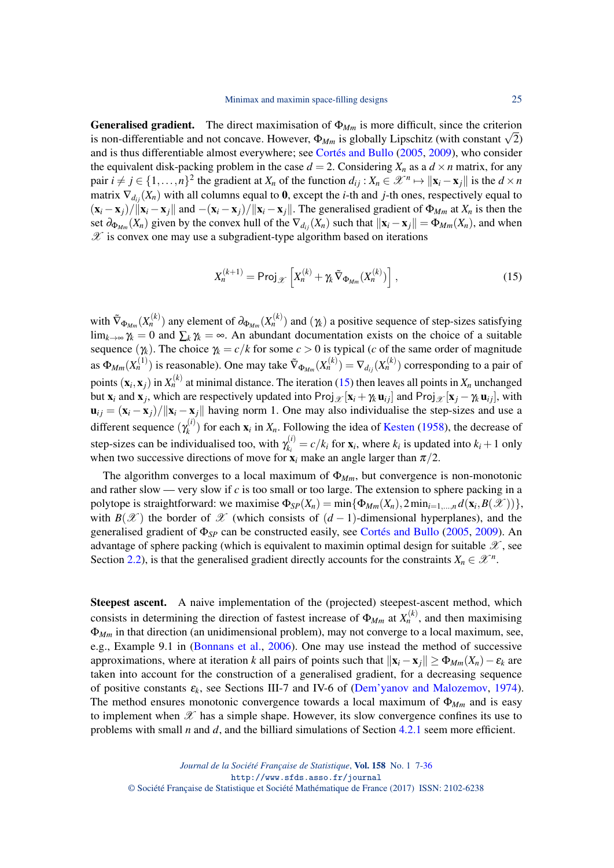**Generalised gradient.** The direct maximisation of  $\Phi_{Mm}$  is more difficult, since the criterion **Generalised gradient.** The direct maximisation of  $\Phi_{Mm}$  is more differentiable and not concave. However,  $\Phi_{Mm}$  is globally Lipschitz (with constant  $\sqrt{2}$ ) and is thus differentiable almost everywhere; see [Cortés and Bullo](#page-26-11) [\(2005,](#page-26-11) [2009\)](#page-26-12), who consider the equivalent disk-packing problem in the case  $d = 2$ . Considering  $X_n$  as a  $d \times n$  matrix, for any pair  $i \neq j \in \{1, ..., n\}^2$  the gradient at  $X_n$  of the function  $d_{ij}: X_n \in \mathcal{X}^n \mapsto ||\mathbf{x}_i - \mathbf{x}_j||$  is the  $d \times n$ matrix  $\nabla_{d_{ij}}(X_n)$  with all columns equal to 0, except the *i*-th and *j*-th ones, respectively equal to  $(\mathbf{x}_i - \mathbf{x}_j)/\|\mathbf{x}_i - \mathbf{x}_j\|$  and  $-(\mathbf{x}_i - \mathbf{x}_j)/\|\mathbf{x}_i - \mathbf{x}_j\|$ . The generalised gradient of  $\Phi_{Mm}$  at  $X_n$  is then the set  $\partial_{\Phi_{M_m}}(X_n)$  given by the convex hull of the  $\nabla_{d_{ij}}(X_n)$  such that  $\|\mathbf{x}_i - \mathbf{x}_j\| = \Phi_{M_m}(X_n)$ , and when  $\mathscr X$  is convex one may use a subgradient-type algorithm based on iterations

<span id="page-18-0"></span>
$$
X_n^{(k+1)} = \text{Proj}_{\mathscr{X}} \left[ X_n^{(k)} + \gamma_k \tilde{\nabla}_{\Phi_{Mm}} (X_n^{(k)}) \right], \tag{15}
$$

with  $\tilde{\nabla}_{\Phi_{Mm}}(X_n^{(k)})$  any element of  $\partial_{\Phi_{Mm}}(X_n^{(k)})$  and  $(\gamma_k)$  a positive sequence of step-sizes satisfying  $\lim_{k\to\infty}\gamma_k=0$  and  $\sum_k\gamma_k=\infty$ . An abundant documentation exists on the choice of a suitable sequence  $(\gamma_k)$ . The choice  $\gamma_k = c/k$  for some  $c > 0$  is typical (*c* of the same order of magnitude as  $\Phi_{Mm}(X_n^{(1)})$  is reasonable). One may take  $\tilde{\nabla}_{\Phi_{Mm}}(X_n^{(k)}) = \nabla_{d_{ij}}(X_n^{(k)})$  corresponding to a pair of points  $(\mathbf{x}_i, \mathbf{x}_j)$  in  $X_n^{(k)}$  at minimal distance. The iteration [\(15\)](#page-18-0) then leaves all points in  $X_n$  unchanged but  $\mathbf{x}_i$  and  $\mathbf{x}_j$ , which are respectively updated into Proj $\mathcal{X}[\mathbf{x}_i + \gamma_k \mathbf{u}_{ij}]$  and Proj $\mathcal{X}[\mathbf{x}_j - \gamma_k \mathbf{u}_{ij}]$ , with  $\mathbf{u}_{ij} = (\mathbf{x}_i - \mathbf{x}_j)/\|\mathbf{x}_i - \mathbf{x}_j\|$  having norm 1. One may also individualise the step-sizes and use a different sequence  $(\gamma_k^{(i)})$  $f_k^{(t)}$  for each  $\mathbf{x}_i$  in  $X_n$ . Following the idea of [Kesten](#page-27-26) [\(1958\)](#page-27-26), the decrease of step-sizes can be individualised too, with  $\gamma_k^{(i)}$  $k_i^{(t)} = c/k_i$  for  $\mathbf{x}_i$ , where  $k_i$  is updated into  $k_i + 1$  only when two successive directions of move for  $\mathbf{x}_i$  make an angle larger than  $\pi/2$ .

The algorithm converges to a local maximum of  $\Phi_{Mm}$ , but convergence is non-monotonic and rather slow — very slow if *c* is too small or too large. The extension to sphere packing in a polytope is straightforward: we maximise  $\Phi_{SP}(X_n) = \min{\{\Phi_{Mm}(X_n), 2\min_{i=1,\dots,n} d(\mathbf{x}_i, B(\mathcal{X}))\}},$ with  $B(\mathscr{X})$  the border of  $\mathscr X$  (which consists of  $(d-1)$ -dimensional hyperplanes), and the generalised gradient of Φ*SP* can be constructed easily, see [Cortés and Bullo](#page-26-11) [\(2005,](#page-26-11) [2009\)](#page-26-12). An advantage of sphere packing (which is equivalent to maximin optimal design for suitable  $\mathscr X$ , see Section [2.2\)](#page-3-1), is that the generalised gradient directly accounts for the constraints  $X_n \in \mathcal{X}^n$ .

Steepest ascent. A naive implementation of the (projected) steepest-ascent method, which consists in determining the direction of fastest increase of  $\Phi_{Mm}$  at  $X_n^{(k)}$ , and then maximising Φ*Mm* in that direction (an unidimensional problem), may not converge to a local maximum, see, e.g., Example 9.1 in [\(Bonnans et al.,](#page-26-21) [2006\)](#page-26-21). One may use instead the method of successive approximations, where at iteration *k* all pairs of points such that  $\|\mathbf{x}_i - \mathbf{x}_j\| \ge \Phi_{Mm}(X_n) - \varepsilon_k$  are taken into account for the construction of a generalised gradient, for a decreasing sequence of positive constants  $\varepsilon_k$ , see Sections III-7 and IV-6 of [\(Dem'yanov and Malozemov,](#page-26-22) [1974\)](#page-26-22). The method ensures monotonic convergence towards a local maximum of  $\Phi_{Mm}$  and is easy to implement when  $\mathscr X$  has a simple shape. However, its slow convergence confines its use to problems with small *n* and *d*, and the billiard simulations of Section [4.2.1](#page-20-0) seem more efficient.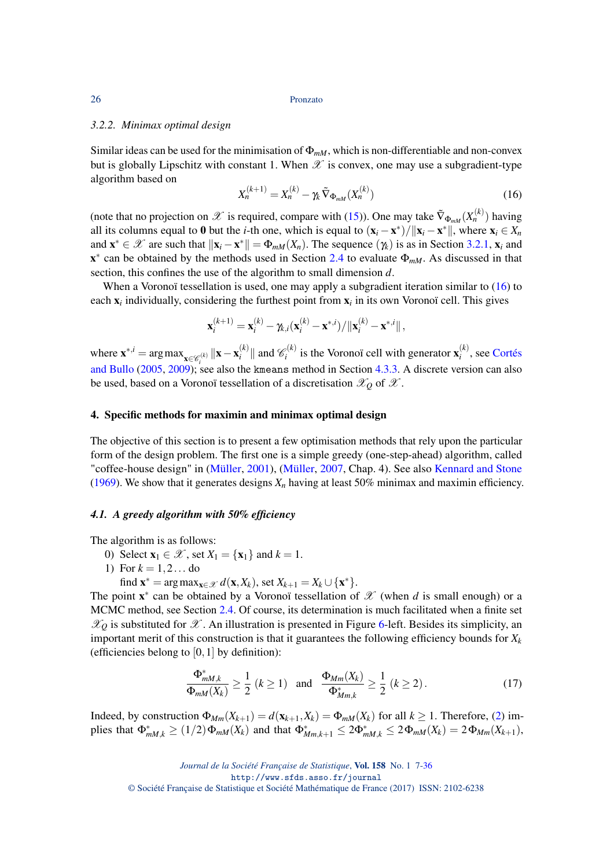## <span id="page-19-4"></span>*3.2.2. Minimax optimal design*

Similar ideas can be used for the minimisation of  $\Phi_{mM}$ , which is non-differentiable and non-convex but is globally Lipschitz with constant 1. When  $\mathscr X$  is convex, one may use a subgradient-type algorithm based on

<span id="page-19-2"></span>
$$
X_n^{(k+1)} = X_n^{(k)} - \gamma_k \tilde{\nabla}_{\Phi_{mM}} (X_n^{(k)}) \tag{16}
$$

(note that no projection on  $\mathscr X$  is required, compare with [\(15\)](#page-18-0)). One may take  $\tilde \nabla_{\Phi_{mM}}(X_n^{(k)})$  having all its columns equal to 0 but the *i*-th one, which is equal to  $(\mathbf{x}_i - \mathbf{x}^*)/||\mathbf{x}_i - \mathbf{x}^*||$ , where  $\mathbf{x}_i \in X_n$ and  $\mathbf{x}^* \in \mathcal{X}$  are such that  $\|\mathbf{x}_i - \mathbf{x}^*\| = \Phi_{mM}(X_n)$ . The sequence  $(\gamma_k)$  is as in Section [3.2.1,](#page-17-1)  $\mathbf{x}_i$  and  $x^*$  can be obtained by the methods used in Section [2.4](#page-8-0) to evaluate  $\Phi_{mM}$ . As discussed in that section, this confines the use of the algorithm to small dimension *d*.

When a Voronoï tessellation is used, one may apply a subgradient iteration similar to [\(16\)](#page-19-2) to each  $x_i$  individually, considering the furthest point from  $x_i$  in its own Voronoï cell. This gives

$$
\mathbf{x}_{i}^{(k+1)} = \mathbf{x}_{i}^{(k)} - \gamma_{k,i}(\mathbf{x}_{i}^{(k)} - \mathbf{x}^{*,i}) / ||\mathbf{x}_{i}^{(k)} - \mathbf{x}^{*,i}||,
$$

where  $\mathbf{x}^{*,i} = \arg \max_{\mathbf{x} \in \mathscr{C}_i^{(k)}} \|\mathbf{x} - \mathbf{x}_i^{(k)}\|$ [and Bullo](#page-26-11) [\(2005,](#page-26-11) [2009\)](#page-26-12); see also the kmeans method in Section [4.3.3.](#page-22-1) A discrete version can also  $\mathcal{C}_i^{(k)}$  || and  $\mathcal{C}_i^{(k)}$  $\mathbf{x}_i^{(k)}$  is the Voronoï cell with generator  $\mathbf{x}_i^{(k)}$  $\int_i^{(k)}$ , see [Cortés](#page-26-11) be used, based on a Voronoï tessellation of a discretisation  $\mathscr{X}_O$  of  $\mathscr{X}$ .

## <span id="page-19-1"></span>4. Specific methods for maximin and minimax optimal design

The objective of this section is to present a few optimisation methods that rely upon the particular form of the design problem. The first one is a simple greedy (one-step-ahead) algorithm, called "coffee-house design" in [\(Müller,](#page-28-19) [2001\)](#page-28-19), [\(Müller,](#page-28-20) [2007,](#page-28-20) Chap. 4). See also [Kennard and Stone](#page-27-27) [\(1969\)](#page-27-27). We show that it generates designs  $X_n$  having at least 50% minimax and maximin efficiency.

#### <span id="page-19-0"></span>*4.1. A greedy algorithm with 50% efficiency*

The algorithm is as follows:

- 0) Select  $\mathbf{x}_1 \in \mathcal{X}$ , set  $X_1 = {\mathbf{x}_1}$  and  $k = 1$ .
- 1) For  $k = 1, 2...$  do
	- find  $\mathbf{x}^* = \arg \max_{\mathbf{x} \in \mathcal{X}} d(\mathbf{x}, X_k)$ , set  $X_{k+1} = X_k \cup {\mathbf{x}^*}.$

The point  $\mathbf{x}^*$  can be obtained by a Voronoï tessellation of  $\mathcal{X}$  (when *d* is small enough) or a MCMC method, see Section [2.4.](#page-8-0) Of course, its determination is much facilitated when a finite set  $\mathscr{X}_0$  is substituted for  $\mathscr{X}$ . An illustration is presented in Figure [6-](#page-21-0)left. Besides its simplicity, an important merit of this construction is that it guarantees the following efficiency bounds for  $X_k$ (efficiencies belong to  $[0,1]$  by definition):

<span id="page-19-3"></span>
$$
\frac{\Phi_{mM,k}^*}{\Phi_{mM}(X_k)} \ge \frac{1}{2} \ (k \ge 1) \quad \text{and} \quad \frac{\Phi_{Mm}(X_k)}{\Phi_{Mm,k}^*} \ge \frac{1}{2} \ (k \ge 2). \tag{17}
$$

Indeed, by construction  $\Phi_{Mm}(X_{k+1}) = d(\mathbf{x}_{k+1}, X_k) = \Phi_{mM}(X_k)$  for all  $k \ge 1$ . Therefore, [\(2\)](#page-3-2) im- $\text{plies that } \Phi^*_{mM,k} \ge (1/2) \Phi_{mM}(X_k) \text{ and that } \Phi^*_{Mm,k+1} \le 2 \Phi^*_{mM,k} \le 2 \Phi_{mM}(X_k) = 2 \Phi_{Mm}(X_{k+1}),$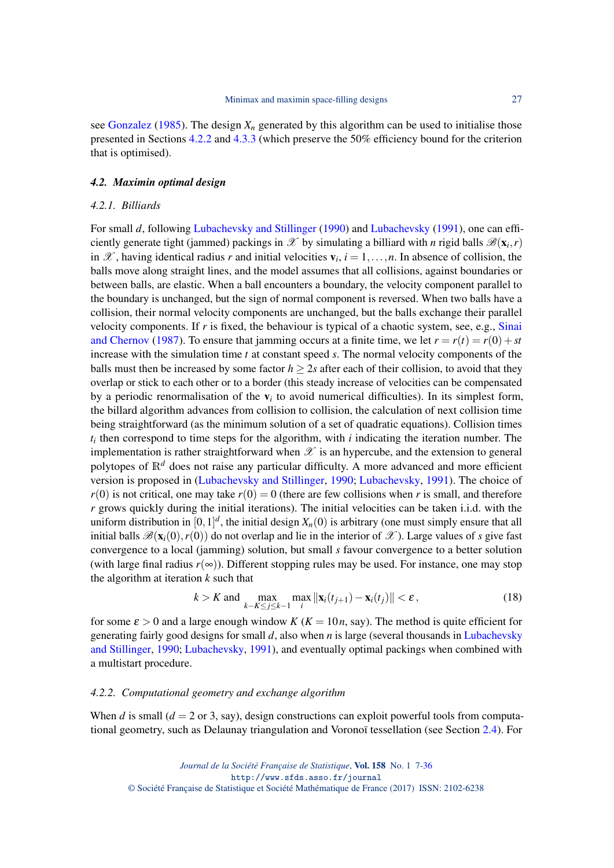see [Gonzalez](#page-27-5) [\(1985\)](#page-27-5). The design  $X_n$  generated by this algorithm can be used to initialise those presented in Sections [4.2.2](#page-20-1) and [4.3.3](#page-22-1) (which preserve the 50% efficiency bound for the criterion that is optimised).

## <span id="page-20-3"></span>*4.2. Maximin optimal design*

#### <span id="page-20-0"></span>*4.2.1. Billiards*

For small *d*, following [Lubachevsky and Stillinger](#page-28-21) [\(1990\)](#page-28-21) and [Lubachevsky](#page-28-22) [\(1991\)](#page-28-22), one can efficiently generate tight (jammed) packings in  $\mathscr X$  by simulating a billiard with *n* rigid balls  $\mathscr B(\mathbf x_i, r)$ in X, having identical radius r and initial velocities  $v_i$ ,  $i = 1, \ldots, n$ . In absence of collision, the balls move along straight lines, and the model assumes that all collisions, against boundaries or between balls, are elastic. When a ball encounters a boundary, the velocity component parallel to the boundary is unchanged, but the sign of normal component is reversed. When two balls have a collision, their normal velocity components are unchanged, but the balls exchange their parallel velocity components. If *r* is fixed, the behaviour is typical of a chaotic system, see, e.g., [Sinai](#page-29-25) [and Chernov](#page-29-25) [\(1987\)](#page-29-25). To ensure that jamming occurs at a finite time, we let  $r = r(t) = r(0) + st$ increase with the simulation time *t* at constant speed *s*. The normal velocity components of the balls must then be increased by some factor  $h > 2s$  after each of their collision, to avoid that they overlap or stick to each other or to a border (this steady increase of velocities can be compensated by a periodic renormalisation of the  $v_i$  to avoid numerical difficulties). In its simplest form, the billard algorithm advances from collision to collision, the calculation of next collision time being straightforward (as the minimum solution of a set of quadratic equations). Collision times  $t_i$  then correspond to time steps for the algorithm, with  $i$  indicating the iteration number. The implementation is rather straightforward when  $\mathscr X$  is an hypercube, and the extension to general polytopes of  $\mathbb{R}^d$  does not raise any particular difficulty. A more advanced and more efficient version is proposed in [\(Lubachevsky and Stillinger,](#page-28-21) [1990;](#page-28-21) [Lubachevsky,](#page-28-22) [1991\)](#page-28-22). The choice of  $r(0)$  is not critical, one may take  $r(0) = 0$  (there are few collisions when *r* is small, and therefore *r* grows quickly during the initial iterations). The initial velocities can be taken i.i.d. with the uniform distribution in  $[0,1]^d$ , the initial design  $X_n(0)$  is arbitrary (one must simply ensure that all initial balls  $\mathscr{B}(\mathbf{x}_i(0), r(0))$  do not overlap and lie in the interior of  $\mathscr{X}$ ). Large values of *s* give fast convergence to a local (jamming) solution, but small *s* favour convergence to a better solution (with large final radius  $r(\infty)$ ). Different stopping rules may be used. For instance, one may stop the algorithm at iteration *k* such that

<span id="page-20-2"></span>
$$
k > K \text{ and } \max_{k - K \le j \le k - 1} \max_{i} \|\mathbf{x}_{i}(t_{j+1}) - \mathbf{x}_{i}(t_{j})\| < \varepsilon, \tag{18}
$$

for some  $\varepsilon > 0$  and a large enough window *K* ( $K = 10n$ , say). The method is quite efficient for generating fairly good designs for small *d*, also when *n* is large (several thousands in [Lubachevsky](#page-28-21) [and Stillinger,](#page-28-21) [1990;](#page-28-21) [Lubachevsky,](#page-28-22) [1991\)](#page-28-22), and eventually optimal packings when combined with a multistart procedure.

## <span id="page-20-1"></span>*4.2.2. Computational geometry and exchange algorithm*

When *d* is small  $(d = 2 \text{ or } 3, \text{ say})$ , design constructions can exploit powerful tools from computational geometry, such as Delaunay triangulation and Voronoï tessellation (see Section [2.4\)](#page-8-0). For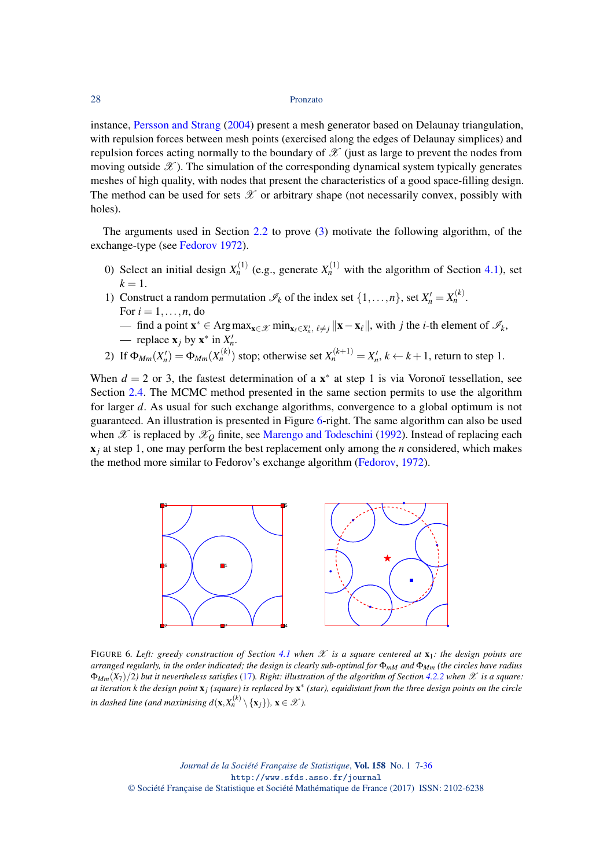instance, [Persson and Strang](#page-28-23) [\(2004\)](#page-28-23) present a mesh generator based on Delaunay triangulation, with repulsion forces between mesh points (exercised along the edges of Delaunay simplices) and repulsion forces acting normally to the boundary of  $\mathscr X$  (just as large to prevent the nodes from moving outside  $\mathscr X$ ). The simulation of the corresponding dynamical system typically generates meshes of high quality, with nodes that present the characteristics of a good space-filling design. The method can be used for sets  $\mathscr X$  or arbitrary shape (not necessarily convex, possibly with holes).

The arguments used in Section [2.2](#page-3-1) to prove [\(3\)](#page-3-3) motivate the following algorithm, of the exchange-type (see [Fedorov](#page-27-0) [1972\)](#page-27-0).

- 0) Select an initial design  $X_n^{(1)}$  (e.g., generate  $X_n^{(1)}$  with the algorithm of Section [4.1\)](#page-19-0), set  $k = 1$ .
- 1) Construct a random permutation  $\mathcal{I}_k$  of the index set  $\{1,\ldots,n\}$ , set  $X'_n = X_n^{(k)}$ . For  $i = 1, \ldots, n$ , do
	- find a point  $\mathbf{x}^*$  ∈ Argmax<sub> $\mathbf{x} \in \mathcal{X}$  min<sub> $\mathbf{x}_\ell \in X'_n$ ,  $\ell \neq j$  || $\mathbf{x} \mathbf{x}_\ell$ ||, with *j* the *i*-th element of  $\mathcal{I}_k$ ,</sub></sub>  $\longrightarrow$  replace  $\mathbf{x}_j$  by  $\mathbf{x}^*$  in  $X'_n$ .
- 2) If  $\Phi_{Mm}(X_n') = \Phi_{Mm}(X_n^{(k)})$  stop; otherwise set  $X_n^{(k+1)} = X_n'$ ,  $k \leftarrow k+1$ , return to step 1.

When  $d = 2$  or 3, the fastest determination of a  $x^*$  at step 1 is via Voronoï tessellation, see Section [2.4.](#page-8-0) The MCMC method presented in the same section permits to use the algorithm for larger *d*. As usual for such exchange algorithms, convergence to a global optimum is not guaranteed. An illustration is presented in Figure [6-](#page-21-0)right. The same algorithm can also be used when  $\mathscr X$  is replaced by  $\mathscr X_O$  finite, see [Marengo and Todeschini](#page-28-24) [\(1992\)](#page-28-24). Instead of replacing each x*<sup>j</sup>* at step 1, one may perform the best replacement only among the *n* considered, which makes the method more similar to Fedorov's exchange algorithm [\(Fedorov,](#page-27-0) [1972\)](#page-27-0).



<span id="page-21-0"></span>FIGURE 6*. Left: greedy construction of Section* [4.1](#page-19-0) when  $\mathcal X$  *is a square centered at*  $\mathbf x_1$ *: the design points are arranged regularly, in the order indicated; the design is clearly sub-optimal for*  $\Phi_{mM}$  *and*  $\Phi_{Mm}$  *(the circles have radius*  $\Phi_{Mm}(X_7)/2$ *) but it nevertheless satisfies* [\(17\)](#page-19-3)*. Right: illustration of the algorithm of Section* [4.2.2](#page-20-1) *when* X *is a square: at iteration k the design point* x*j (square) is replaced by* x ∗ *(star), equidistant from the three design points on the circle in dashed line (and maximising d*( $\mathbf{x}, X_n^{(k)} \setminus \{\mathbf{x}_j\}$ ),  $\mathbf{x} \in \mathcal{X}$ ).

*Journal de la Société Française de Statistique*, Vol. 158 No. 1 7[-36](#page-29-1) http://www.sfds.asso.fr/journal © Société Française de Statistique et Société Mathématique de France (2017) ISSN: 2102-6238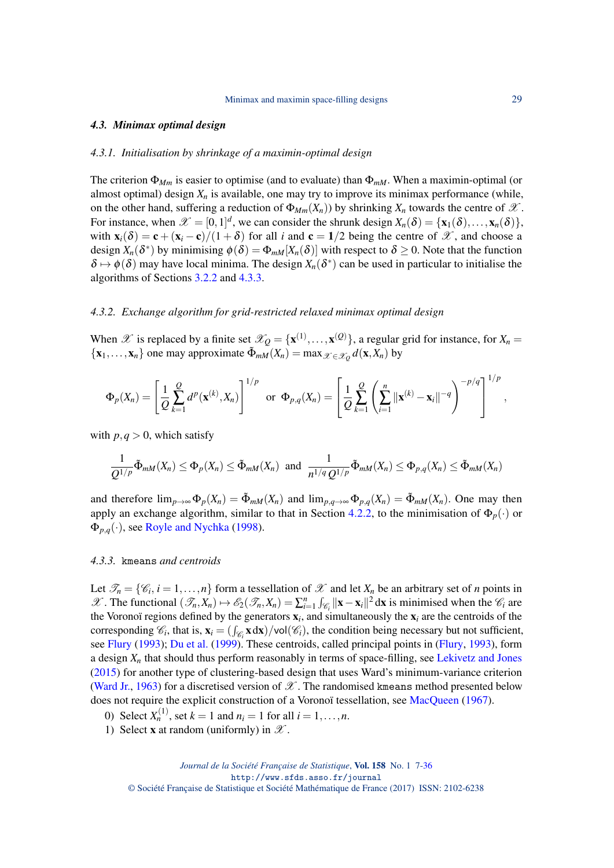#### *4.3. Minimax optimal design*

## <span id="page-22-0"></span>*4.3.1. Initialisation by shrinkage of a maximin-optimal design*

The criterion Φ*Mm* is easier to optimise (and to evaluate) than Φ*mM*. When a maximin-optimal (or almost optimal) design  $X_n$  is available, one may try to improve its minimax performance (while, on the other hand, suffering a reduction of  $\Phi_{Mm}(X_n)$ ) by shrinking  $X_n$  towards the centre of  $\mathscr X$ . For instance, when  $\mathscr{X} = [0,1]^d$ , we can consider the shrunk design  $X_n(\delta) = {\mathbf{x}_1(\delta), \dots, \mathbf{x}_n(\delta)}$ , with  $\mathbf{x}_i(\delta) = \mathbf{c} + (\mathbf{x}_i - \mathbf{c})/(1 + \delta)$  for all *i* and  $\mathbf{c} = 1/2$  being the centre of  $\mathcal{X}$ , and choose a design  $X_n(\delta^*)$  by minimising  $\phi(\delta) = \Phi_{mM}[X_n(\delta)]$  with respect to  $\delta \geq 0$ . Note that the function  $\delta \mapsto \phi(\delta)$  may have local minima. The design  $X_n(\delta^*)$  can be used in particular to initialise the algorithms of Sections [3.2.2](#page-19-4) and [4.3.3.](#page-22-1)

#### *4.3.2. Exchange algorithm for grid-restricted relaxed minimax optimal design*

When  $\mathscr X$  is replaced by a finite set  $\mathscr X_Q = {\mathbf x}^{(1)}, \ldots, {\mathbf x}^{(Q)}$ , a regular grid for instance, for  $X_n =$  ${x_1, \ldots, x_n}$  one may approximate  $\tilde{\Phi}_{mM}(X_n) = \max_{\mathcal{X} \in \mathcal{X}_Q} d(\mathbf{x}, X_n)$  by

$$
\Phi_p(X_n) = \left[ \frac{1}{Q} \sum_{k=1}^Q d^p(\mathbf{x}^{(k)}, X_n) \right]^{1/p} \text{ or } \Phi_{p,q}(X_n) = \left[ \frac{1}{Q} \sum_{k=1}^Q \left( \sum_{i=1}^n ||\mathbf{x}^{(k)} - \mathbf{x}_i||^{-q} \right)^{-p/q} \right]^{1/p},
$$

with  $p, q > 0$ , which satisfy

$$
\frac{1}{Q^{1/p}}\tilde{\Phi}_{mM}(X_n)\leq \Phi_p(X_n)\leq \tilde{\Phi}_{mM}(X_n) \text{ and } \frac{1}{n^{1/q}Q^{1/p}}\tilde{\Phi}_{mM}(X_n)\leq \Phi_{p,q}(X_n)\leq \tilde{\Phi}_{mM}(X_n)
$$

and therefore  $\lim_{p\to\infty} \Phi_p(X_n) = \tilde{\Phi}_{mM}(X_n)$  and  $\lim_{p,q\to\infty} \Phi_{p,q}(X_n) = \tilde{\Phi}_{mM}(X_n)$ . One may then apply an exchange algorithm, similar to that in Section [4.2.2,](#page-20-1) to the minimisation of  $\Phi_p(\cdot)$  or  $\Phi_{p,q}(\cdot)$ , see [Royle and Nychka](#page-29-26) [\(1998\)](#page-29-26).

## <span id="page-22-1"></span>*4.3.3.* kmeans *and centroids*

Let  $\mathcal{T}_n = \{\mathcal{C}_i, i = 1, \ldots, n\}$  form a tessellation of  $\mathcal{X}$  and let  $X_n$  be an arbitrary set of *n* points in  $\mathscr{X}$ . The functional  $(\mathscr{T}_n, X_n) \mapsto \mathscr{E}_2(\mathscr{T}_n, X_n) = \sum_{i=1}^n \int_{\mathscr{C}_i} ||\mathbf{x} - \mathbf{x}_i||^2 d\mathbf{x}$  is minimised when the  $\mathscr{C}_i$  are the Voronoï regions defined by the generators  $\mathbf{x}_i$ , and simultaneously the  $\mathbf{x}_i$  are the centroids of the corresponding  $\mathcal{C}_i$ , that is,  $\mathbf{x}_i = (\int_{\mathcal{C}_i} \mathbf{x} \, d\mathbf{x}) / \text{vol}(\mathcal{C}_i)$ , the condition being necessary but not sufficient, see [Flury](#page-27-28) [\(1993\)](#page-27-28); [Du et al.](#page-26-23) [\(1999\)](#page-26-23). These centroids, called principal points in [\(Flury,](#page-27-28) [1993\)](#page-27-28), form a design  $X_n$  that should thus perform reasonably in terms of space-filling, see [Lekivetz and Jones](#page-27-29) [\(2015\)](#page-27-29) for another type of clustering-based design that uses Ward's minimum-variance criterion [\(Ward Jr.,](#page-29-27) [1963\)](#page-29-27) for a discretised version of  $\mathscr X$ . The randomised kmeans method presented below does not require the explicit construction of a Voronoï tessellation, see [MacQueen](#page-28-25) [\(1967\)](#page-28-25).

- 0) Select  $X_n^{(1)}$ , set  $k = 1$  and  $n_i = 1$  for all  $i = 1, ..., n$ .
- 1) Select **x** at random (uniformly) in  $\mathscr{X}$ .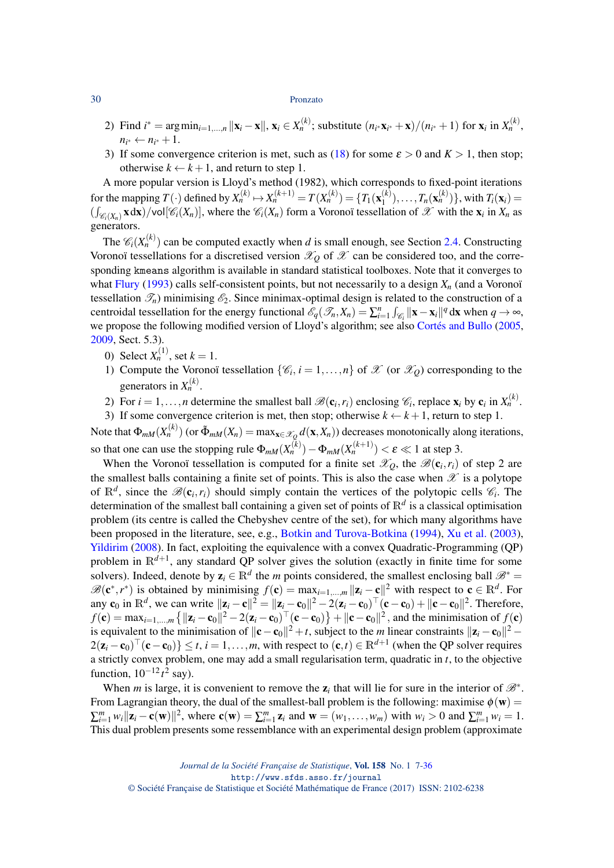- 2) Find  $i^* = \arg \min_{i=1,...,n} ||\mathbf{x}_i \mathbf{x}||$ ,  $\mathbf{x}_i \in X_n^{(k)}$ ; substitute  $(n_{i^*}\mathbf{x}_{i^*} + \mathbf{x})/(n_{i^*} + 1)$  for  $\mathbf{x}_i$  in  $X_n^{(k)}$ ,  $n_{i^*} \leftarrow n_{i^*} + 1.$
- 3) If some convergence criterion is met, such as [\(18\)](#page-20-2) for some  $\varepsilon > 0$  and  $K > 1$ , then stop; otherwise  $k \leftarrow k+1$ , and return to step 1.

A more popular version is Lloyd's method (1982), which corresponds to fixed-point iterations for the mapping  $T(\cdot)$  defined by  $X_n^{(k)} \mapsto X_n^{(k+1)} = T(X_n^{(k)}) = \{T_1(\mathbf{x}_1^{(k)})$  $(T_1^{(k)}),...,T_n(\mathbf{x}_n^{(k)})\},\text{ with }T_i(\mathbf{x}_i)=$  $(\int_{\mathscr{C}_i(X_n)} \mathbf{x} \, d\mathbf{x})$ /vol $[\mathscr{C}_i(X_n)]$ , where the  $\mathscr{C}_i(X_n)$  form a Voronoï tessellation of  $\mathscr{X}$  with the  $\mathbf{x}_i$  in  $X_n$  as generators.

The  $\mathcal{C}_i(X_n^{(k)})$  can be computed exactly when *d* is small enough, see Section [2.4.](#page-8-0) Constructing Voronoï tessellations for a discretised version  $\mathcal{X}_0$  of  $\mathcal{X}$  can be considered too, and the corresponding kmeans algorithm is available in standard statistical toolboxes. Note that it converges to what [Flury](#page-27-28) [\(1993\)](#page-27-28) calls self-consistent points, but not necessarily to a design *X<sup>n</sup>* (and a Voronoï tessellation  $\mathcal{T}_n$ ) minimising  $\mathcal{E}_2$ . Since minimax-optimal design is related to the construction of a centroidal tessellation for the energy functional  $\mathscr{E}_q(\mathscr{T}_n, X_n) = \sum_{i=1}^n \int_{\mathscr{C}_i} ||\mathbf{x} - \mathbf{x}_i||^q d\mathbf{x}$  when  $q \to \infty$ , we propose the following modified version of Lloyd's algorithm; see also [Cortés and Bullo](#page-26-11) [\(2005,](#page-26-11) [2009,](#page-26-12) Sect. 5.3).

- 0) Select  $X_n^{(1)}$ , set  $k = 1$ .
- 1) Compute the Voronoï tessellation  $\{\mathscr{C}_i, i = 1, ..., n\}$  of  $\mathscr{X}$  (or  $\mathscr{X}_Q$ ) corresponding to the generators in  $X_n^{(k)}$ .
- 2) For  $i = 1, ..., n$  determine the smallest ball  $\mathcal{B}(\mathbf{c}_i, r_i)$  enclosing  $\mathcal{C}_i$ , replace  $\mathbf{x}_i$  by  $\mathbf{c}_i$  in  $X_n^{(k)}$ .
- 3) If some convergence criterion is met, then stop; otherwise  $k \leftarrow k+1$ , return to step 1.

Note that  $\Phi_{mM}(X_n^{(k)})$  (or  $\tilde{\Phi}_{mM}(X_n) = \max_{\mathbf{x} \in \mathcal{X}_Q} d(\mathbf{x}, X_n)$ ) decreases monotonically along iterations, so that one can use the stopping rule  $\Phi_{mM}(X_n^{(k)}) - \Phi_{mM}(X_n^{(k+1)}) < \varepsilon \ll 1$  at step 3.

When the Voronoï tessellation is computed for a finite set  $\mathscr{X}_Q$ , the  $\mathscr{B}(\mathbf{c}_i,r_i)$  of step 2 are the smallest balls containing a finite set of points. This is also the case when  $\mathscr X$  is a polytope of  $\mathbb{R}^d$ , since the  $\mathscr{B}(\mathbf{c}_i, r_i)$  should simply contain the vertices of the polytopic cells  $\mathscr{C}_i$ . The determination of the smallest ball containing a given set of points of R*<sup>d</sup>* is a classical optimisation problem (its centre is called the Chebyshev centre of the set), for which many algorithms have been proposed in the literature, see, e.g., [Botkin and Turova-Botkina](#page-26-24) [\(1994\)](#page-26-24), [Xu et al.](#page-29-28) [\(2003\)](#page-29-28), [Yildirim](#page-29-29) [\(2008\)](#page-29-29). In fact, exploiting the equivalence with a convex Quadratic-Programming (QP) problem in  $\mathbb{R}^{d+1}$ , any standard QP solver gives the solution (exactly in finite time for some solvers). Indeed, denote by  $z_i \in \mathbb{R}^d$  the *m* points considered, the smallest enclosing ball  $\mathcal{B}^*$  =  $\mathscr{B}(\mathbf{c}^*, r^*)$  is obtained by minimising  $f(\mathbf{c}) = \max_{i=1,\dots,m} ||\mathbf{z}_i - \mathbf{c}||^2$  with respect to  $\mathbf{c} \in \mathbb{R}^d$ . For any  $\mathbf{c}_0$  in  $\mathbb{R}^d$ , we can write  $\|\mathbf{z}_i - \mathbf{c}\|^2 = \|\mathbf{z}_i - \mathbf{c}_0\|^2 - 2(\mathbf{z}_i - \mathbf{c}_0)^\top (\mathbf{c} - \mathbf{c}_0) + \|\mathbf{c} - \mathbf{c}_0\|^2$ . Therefore,  $f(\mathbf{c}) = \max_{i=1,\dots,m} \left\{ ||\mathbf{z}_i - \mathbf{c}_0||^2 - 2(\mathbf{z}_i - \mathbf{c}_0)^\top (\mathbf{c} - \mathbf{c}_0) \right\} + ||\mathbf{c} - \mathbf{c}_0||^2$ , and the minimisation of  $f(\mathbf{c})$ is equivalent to the minimisation of  $\|\mathbf{c} - \mathbf{c}_0\|^2 + t$ , subject to the *m* linear constraints  $\|\mathbf{z}_i - \mathbf{c}_0\|^2 - t$  $2(\mathbf{z}_i - \mathbf{c}_0)^\top (\mathbf{c} - \mathbf{c}_0) \} \le t$ ,  $i = 1, ..., m$ , with respect to  $(\mathbf{c}, t) \in \mathbb{R}^{d+1}$  (when the QP solver requires a strictly convex problem, one may add a small regularisation term, quadratic in *t*, to the objective function,  $10^{-12}t^2$  say).

When *m* is large, it is convenient to remove the  $z_i$  that will lie for sure in the interior of  $\mathcal{B}^*$ . From Lagrangian theory, the dual of the smallest-ball problem is the following: maximise  $\phi(\mathbf{w}) =$  $\sum_{i=1}^{m} w_i ||\mathbf{z}_i - \mathbf{c}(\mathbf{w})||^2$ , where  $\mathbf{c}(\mathbf{w}) = \sum_{i=1}^{m} \mathbf{z}_i$  and  $\mathbf{w} = (w_1, \dots, w_m)$  with  $w_i > 0$  and  $\sum_{i=1}^{m} w_i = 1$ . This dual problem presents some ressemblance with an experimental design problem (approximate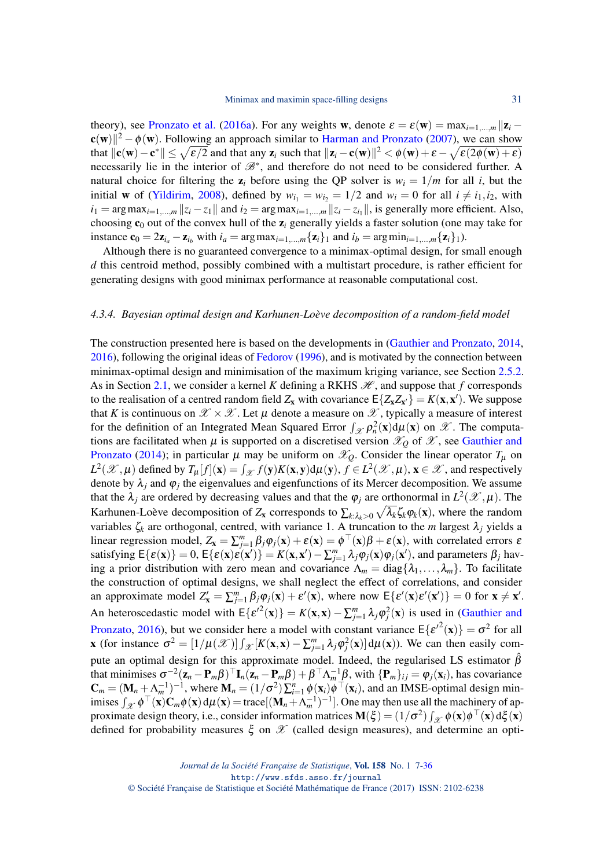theory), see [Pronzato et al.](#page-28-26) [\(2016a\)](#page-28-26). For any weights w, denote  $\varepsilon = \varepsilon(w) = \max_{i=1,\dots,m} ||z_i - z_i||$  $\mathbf{c}(\mathbf{w})\|^2 - \phi(\mathbf{w})$ . Following an approach similar to [Harman and Pronzato](#page-27-30) [\(2007\)](#page-27-30), we can show that  $\|{\bf c}({\bf w})-{\bf c}^*\|\leq \sqrt{\epsilon/2}$  and that any  ${\bf z}_i$  such that  $\|{\bf z}_i-{\bf c}({\bf w})\|^2<\phi({\bf w})+\varepsilon-\sqrt{\epsilon(2\phi({\bf w})+\varepsilon)}$ necessarily lie in the interior of  $\mathcal{B}^*$ , and therefore do not need to be considered further. A natural choice for filtering the  $z_i$  before using the QP solver is  $w_i = 1/m$  for all *i*, but the initial **w** of [\(Yildirim,](#page-29-29) [2008\)](#page-29-29), defined by  $w_{i_1} = w_{i_2} = 1/2$  and  $w_i = 0$  for all  $i \neq i_1, i_2$ , with  $i_1 = \arg \max_{i=1,\dots,m} ||z_i - z_1||$  and  $i_2 = \arg \max_{i=1,\dots,m} ||z_i - z_{i_1}||$ , is generally more efficient. Also, choosing c<sup>0</sup> out of the convex hull of the z*<sup>i</sup>* generally yields a faster solution (one may take for instance  $\mathbf{c}_0 = 2\mathbf{z}_{i_a} - \mathbf{z}_{i_b}$  with  $i_a = \arg \max_{i=1,\dots,m} {\mathbf{z}_i}$  and  $i_b = \arg \min_{i=1,\dots,m} {\mathbf{z}_i}$ .

Although there is no guaranteed convergence to a minimax-optimal design, for small enough *d* this centroid method, possibly combined with a multistart procedure, is rather efficient for generating designs with good minimax performance at reasonable computational cost.

#### *4.3.4. Bayesian optimal design and Karhunen-Loève decomposition of a random-field model*

The construction presented here is based on the developments in [\(Gauthier and Pronzato,](#page-27-2) [2014,](#page-27-2) [2016\)](#page-27-3), following the original ideas of [Fedorov](#page-27-31) [\(1996\)](#page-27-31), and is motivated by the connection between minimax-optimal design and minimisation of the maximum kriging variance, see Section [2.5.2.](#page-14-0) As in Section [2.1,](#page-2-1) we consider a kernel *K* defining a RKHS  $\mathcal{H}$ , and suppose that *f* corresponds to the realisation of a centred random field  $Z_x$  with covariance  $E\{Z_x Z_{x'}\} = K(x, x')$ . We suppose that *K* is continuous on  $\mathscr{X} \times \mathscr{X}$ . Let  $\mu$  denote a measure on  $\mathscr{X}$ , typically a measure of interest for the definition of an Integrated Mean Squared Error  $\int_{\mathcal{X}} \rho_n^2(\mathbf{x}) d\mu(\mathbf{x})$  on  $\mathcal{X}$ . The computations are facilitated when  $\mu$  is supported on a discretised version  $\mathscr{X}_O$  of  $\mathscr{X}$ , see [Gauthier and](#page-27-2) [Pronzato](#page-27-2) [\(2014\)](#page-27-2); in particular  $\mu$  may be uniform on  $\mathcal{X}_0$ . Consider the linear operator  $T_{\mu}$  on  $L^2(\mathcal{X}, \mu)$  defined by  $T_\mu[f](\mathbf{x}) = \int_{\mathcal{X}} f(\mathbf{y}) K(\mathbf{x}, \mathbf{y}) d\mu(\mathbf{y}), f \in L^2(\mathcal{X}, \mu), \mathbf{x} \in \mathcal{X}$ , and respectively denote by  $\lambda_j$  and  $\varphi_j$  the eigenvalues and eigenfunctions of its Mercer decomposition. We assume that the  $\lambda_j$  are ordered by decreasing values and that the  $\varphi_j$  are orthonormal in  $L^2(\mathscr{X}, \mu)$ . The Karhunen-Loève decomposition of  $Z_x$  corresponds to  $\sum_{k:\lambda_k>0} \sqrt{\lambda_k} \zeta_k \varphi_k(x)$ , where the random variables  $\zeta_k$  are orthogonal, centred, with variance 1. A truncation to the *m* largest  $\lambda_j$  yields a linear regression model,  $Z_x = \sum_{j=1}^m \beta_j \varphi_j(x) + \varepsilon(x) = \phi^\top(x)\beta + \varepsilon(x)$ , with correlated errors  $\varepsilon$ satisfying  $E\{\varepsilon(\mathbf{x})\} = 0$ ,  $E\{\varepsilon(\mathbf{x})\varepsilon(\mathbf{x}')\} = K(\mathbf{x}, \mathbf{x}') - \sum_{j=1}^{m} \lambda_j \varphi_j(\mathbf{x})\varphi_j(\mathbf{x}')$ , and parameters  $\beta_j$  having a prior distribution with zero mean and covariance  $\Lambda_m = \text{diag}\{\lambda_1, \ldots, \lambda_m\}$ . To facilitate the construction of optimal designs, we shall neglect the effect of correlations, and consider an approximate model  $Z'_x = \sum_{j=1}^m \beta_j \varphi_j(x) + \varepsilon'(x)$ , where now  $E\{\varepsilon'(x)\varepsilon'(x')\} = 0$  for  $x \neq x'$ . An heteroscedastic model with  $E\{ \varepsilon'^2(\mathbf{x}) \} = K(\mathbf{x}, \mathbf{x}) - \sum_{j=1}^m \lambda_j \varphi_j^2(\mathbf{x})$  is used in [\(Gauthier and](#page-27-3) [Pronzato,](#page-27-3) [2016\)](#page-27-3), but we consider here a model with constant variance  $E{ε'^2(\mathbf{x})} = σ^2$  for all **x** (for instance  $\sigma^2 = [1/\mu(\mathcal{X})] \int_{\mathcal{X}} [K(\mathbf{x}, \mathbf{x}) - \sum_{j=1}^m \lambda_j \varphi_j^2(\mathbf{x})] d\mu(\mathbf{x})$ ). We can then easily compute an optimal design for this approximate model. Indeed, the regularised LS estimator  $\hat{\beta}$ that minimises  $\sigma^{-2}(\mathbf{z}_n - \mathbf{P}_m \boldsymbol{\beta})^\top \mathbf{I}_n(\mathbf{z}_n - \mathbf{P}_m \boldsymbol{\beta}) + \boldsymbol{\beta}^\top \Lambda_m^{-1} \boldsymbol{\beta}$ , with  $\{\mathbf{P}_m\}_{ij} = \varphi_j(\mathbf{x}_i)$ , has covariance  $\mathbf{C}_m = (\mathbf{M}_n + \Lambda_m^{-1})^{-1}$ , where  $\mathbf{M}_n = (1/\sigma^2) \sum_{i=1}^n \phi(\mathbf{x}_i) \phi^\top(\mathbf{x}_i)$ , and an IMSE-optimal design minimises  $\int_{\mathscr{X}} \phi^{\top}(\mathbf{x}) \mathbf{C}_m \phi(\mathbf{x}) d\mu(\mathbf{x}) = \text{trace}[(\mathbf{M}_n + \Lambda_m^{-1})^{-1}]$ . One may then use all the machinery of approximate design theory, i.e., consider information matrices  $\mathbf{M}(\xi) = (1/\sigma^2) \int_{\mathcal{X}} \phi(\mathbf{x}) \phi^\top(\mathbf{x}) d\xi(\mathbf{x})$ defined for probability measures  $\xi$  on  $\mathscr X$  (called design measures), and determine an opti-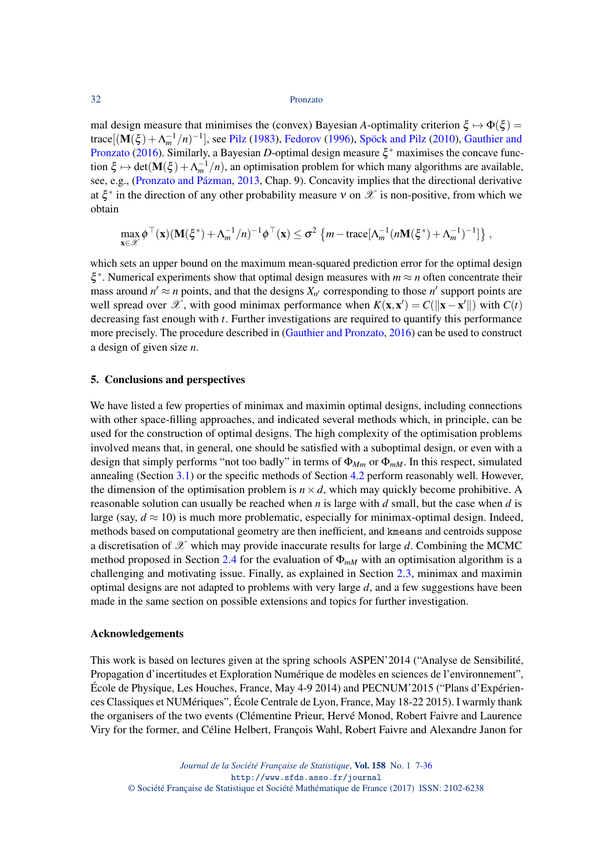mal design measure that minimises the (convex) Bayesian *A*-optimality criterion  $\xi \mapsto \Phi(\xi)$  = trace[ $(M(\xi) + \Lambda_m^{-1}/n)^{-1}$ ], see [Pilz](#page-28-27) [\(1983\)](#page-28-27), [Fedorov](#page-27-31) [\(1996\)](#page-27-31), [Spöck and Pilz](#page-29-30) [\(2010\)](#page-29-30), [Gauthier and](#page-27-3) [Pronzato](#page-27-3) [\(2016\)](#page-27-3). Similarly, a Bayesian *D*-optimal design measure  $\xi^*$  maximises the concave function  $\xi \mapsto det(\mathbf{M}(\xi) + \Lambda_m^{-1}/n)$ , an optimisation problem for which many algorithms are available, see, e.g., [\(Pronzato and Pázman,](#page-28-1) [2013,](#page-28-1) Chap. 9). Concavity implies that the directional derivative at  $\xi^*$  in the direction of any other probability measure v on  $\mathscr X$  is non-positive, from which we obtain

$$
\max_{\mathbf{x}\in\mathcal{X}} \phi^{\top}(\mathbf{x}) (\mathbf{M}(\xi^*) + \Lambda_m^{-1}/n)^{-1} \phi^{\top}(\mathbf{x}) \leq \sigma^2 \left\{ m - \text{trace}[\Lambda_m^{-1}(n\mathbf{M}(\xi^*) + \Lambda_m^{-1})^{-1}] \right\},\,
$$

which sets an upper bound on the maximum mean-squared prediction error for the optimal design ξ<sup>\*</sup>. Numerical experiments show that optimal design measures with *m* ≈ *n* often concentrate their mass around  $n' \approx n$  points, and that the designs  $X_{n'}$  corresponding to those  $n'$  support points are well spread over  $\mathscr{X}$ , with good minimax performance when  $K(\mathbf{x}, \mathbf{x}') = C(||\mathbf{x} - \mathbf{x}'||)$  with  $C(t)$ decreasing fast enough with *t*. Further investigations are required to quantify this performance more precisely. The procedure described in [\(Gauthier and Pronzato,](#page-27-3) [2016\)](#page-27-3) can be used to construct a design of given size *n*.

## 5. Conclusions and perspectives

We have listed a few properties of minimax and maximin optimal designs, including connections with other space-filling approaches, and indicated several methods which, in principle, can be used for the construction of optimal designs. The high complexity of the optimisation problems involved means that, in general, one should be satisfied with a suboptimal design, or even with a design that simply performs "not too badly" in terms of Φ*Mm* or Φ*mM*. In this respect, simulated annealing (Section [3.1\)](#page-16-1) or the specific methods of Section [4.2](#page-20-3) perform reasonably well. However, the dimension of the optimisation problem is  $n \times d$ , which may quickly become prohibitive. A reasonable solution can usually be reached when *n* is large with *d* small, but the case when *d* is large (say,  $d \approx 10$ ) is much more problematic, especially for minimax-optimal design. Indeed, methods based on computational geometry are then inefficient, and kmeans and centroids suppose a discretisation of  $\mathscr X$  which may provide inaccurate results for large  $d$ . Combining the MCMC method proposed in Section [2.4](#page-8-0) for the evaluation of  $\Phi_{mM}$  with an optimisation algorithm is a challenging and motivating issue. Finally, as explained in Section [2.3,](#page-6-0) minimax and maximin optimal designs are not adapted to problems with very large *d*, and a few suggestions have been made in the same section on possible extensions and topics for further investigation.

## Acknowledgements

This work is based on lectures given at the spring schools ASPEN'2014 ("Analyse de Sensibilité, Propagation d'incertitudes et Exploration Numérique de modèles en sciences de l'environnement", École de Physique, Les Houches, France, May 4-9 2014) and PECNUM'2015 ("Plans d'Expériences Classiques et NUMériques", École Centrale de Lyon, France, May 18-22 2015). I warmly thank the organisers of the two events (Clémentine Prieur, Hervé Monod, Robert Faivre and Laurence Viry for the former, and Céline Helbert, François Wahl, Robert Faivre and Alexandre Janon for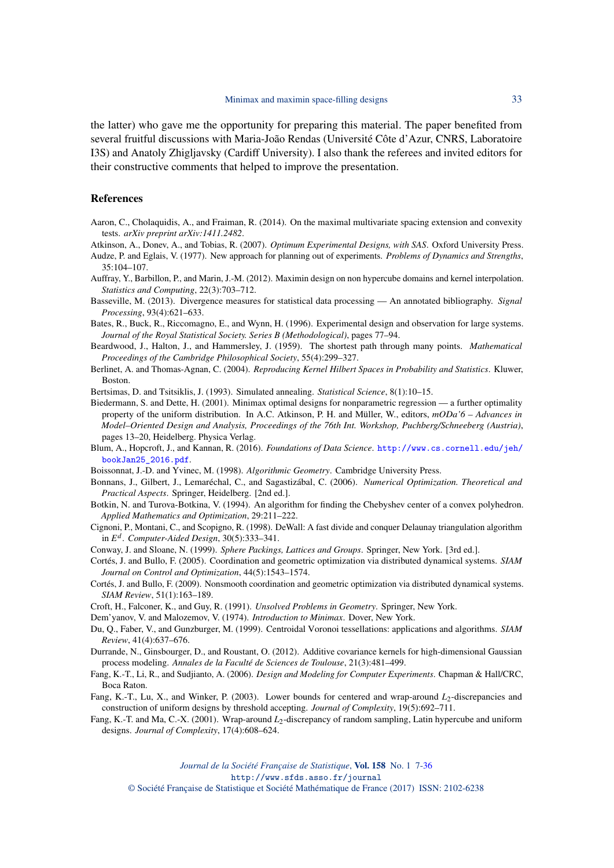the latter) who gave me the opportunity for preparing this material. The paper benefited from several fruitful discussions with Maria-João Rendas (Université Côte d'Azur, CNRS, Laboratoire I3S) and Anatoly Zhigljavsky (Cardiff University). I also thank the referees and invited editors for their constructive comments that helped to improve the presentation.

#### References

- <span id="page-26-6"></span>Aaron, C., Cholaquidis, A., and Fraiman, R. (2014). On the maximal multivariate spacing extension and convexity tests. *arXiv preprint arXiv:1411.2482*.
- <span id="page-26-0"></span>Atkinson, A., Donev, A., and Tobias, R. (2007). *Optimum Experimental Designs, with SAS*. Oxford University Press.
- <span id="page-26-18"></span>Audze, P. and Eglais, V. (1977). New approach for planning out of experiments. *Problems of Dynamics and Strengths*, 35:104–107.
- <span id="page-26-3"></span>Auffray, Y., Barbillon, P., and Marin, J.-M. (2012). Maximin design on non hypercube domains and kernel interpolation. *Statistics and Computing*, 22(3):703–712.
- <span id="page-26-16"></span>Basseville, M. (2013). Divergence measures for statistical data processing — An annotated bibliography. *Signal Processing*, 93(4):621–633.
- <span id="page-26-5"></span>Bates, R., Buck, R., Riccomagno, E., and Wynn, H. (1996). Experimental design and observation for large systems. *Journal of the Royal Statistical Society. Series B (Methodological)*, pages 77–94.
- <span id="page-26-17"></span>Beardwood, J., Halton, J., and Hammersley, J. (1959). The shortest path through many points. *Mathematical Proceedings of the Cambridge Philosophical Society*, 55(4):299–327.
- <span id="page-26-2"></span>Berlinet, A. and Thomas-Agnan, C. (2004). *Reproducing Kernel Hilbert Spaces in Probability and Statistics*. Kluwer, Boston.
- <span id="page-26-20"></span>Bertsimas, D. and Tsitsiklis, J. (1993). Simulated annealing. *Statistical Science*, 8(1):10–15.
- <span id="page-26-1"></span>Biedermann, S. and Dette, H. (2001). Minimax optimal designs for nonparametric regression — a further optimality property of the uniform distribution. In A.C. Atkinson, P. H. and Müller, W., editors, *mODa'6 – Advances in Model–Oriented Design and Analysis, Proceedings of the 76th Int. Workshop, Puchberg/Schneeberg (Austria)*, pages 13–20, Heidelberg. Physica Verlag.
- <span id="page-26-8"></span>Blum, A., Hopcroft, J., and Kannan, R. (2016). *Foundations of Data Science*. [http://www.cs.cornell.edu/jeh/](http://www.cs.cornell.edu/jeh/bookJan25_2016.pdf) [bookJan25\\_2016.pdf](http://www.cs.cornell.edu/jeh/bookJan25_2016.pdf).
- <span id="page-26-9"></span>Boissonnat, J.-D. and Yvinec, M. (1998). *Algorithmic Geometry*. Cambridge University Press.
- <span id="page-26-21"></span>Bonnans, J., Gilbert, J., Lemaréchal, C., and Sagastizábal, C. (2006). *Numerical Optimization. Theoretical and Practical Aspects*. Springer, Heidelberg. [2nd ed.].
- <span id="page-26-24"></span>Botkin, N. and Turova-Botkina, V. (1994). An algorithm for finding the Chebyshev center of a convex polyhedron. *Applied Mathematics and Optimization*, 29:211–222.
- <span id="page-26-10"></span>Cignoni, P., Montani, C., and Scopigno, R. (1998). DeWall: A fast divide and conquer Delaunay triangulation algorithm in *E d* . *Computer-Aided Design*, 30(5):333–341.
- <span id="page-26-4"></span>Conway, J. and Sloane, N. (1999). *Sphere Packings, Lattices and Groups*. Springer, New York. [3rd ed.].
- <span id="page-26-11"></span>Cortés, J. and Bullo, F. (2005). Coordination and geometric optimization via distributed dynamical systems. *SIAM Journal on Control and Optimization*, 44(5):1543–1574.
- <span id="page-26-12"></span>Cortés, J. and Bullo, F. (2009). Nonsmooth coordination and geometric optimization via distributed dynamical systems. *SIAM Review*, 51(1):163–189.
- <span id="page-26-19"></span>Croft, H., Falconer, K., and Guy, R. (1991). *Unsolved Problems in Geometry*. Springer, New York.
- <span id="page-26-22"></span>Dem'yanov, V. and Malozemov, V. (1974). *Introduction to Minimax*. Dover, New York.
- <span id="page-26-23"></span>Du, Q., Faber, V., and Gunzburger, M. (1999). Centroidal Voronoi tessellations: applications and algorithms. *SIAM Review*, 41(4):637–676.
- <span id="page-26-7"></span>Durrande, N., Ginsbourger, D., and Roustant, O. (2012). Additive covariance kernels for high-dimensional Gaussian process modeling. *Annales de la Faculté de Sciences de Toulouse*, 21(3):481–499.
- <span id="page-26-15"></span>Fang, K.-T., Li, R., and Sudjianto, A. (2006). *Design and Modeling for Computer Experiments*. Chapman & Hall/CRC, Boca Raton.
- <span id="page-26-14"></span>Fang, K.-T., Lu, X., and Winker, P. (2003). Lower bounds for centered and wrap-around *L*<sub>2</sub>-discrepancies and construction of uniform designs by threshold accepting. *Journal of Complexity*, 19(5):692–711.
- <span id="page-26-13"></span>Fang, K.-T. and Ma, C.-X. (2001). Wrap-around *L*<sub>2</sub>-discrepancy of random sampling, Latin hypercube and uniform designs. *Journal of Complexity*, 17(4):608–624.

*Journal de la Société Française de Statistique*, Vol. 158 No. 1 7[-36](#page-29-1) http://www.sfds.asso.fr/journal

© Société Française de Statistique et Société Mathématique de France (2017) ISSN: 2102-6238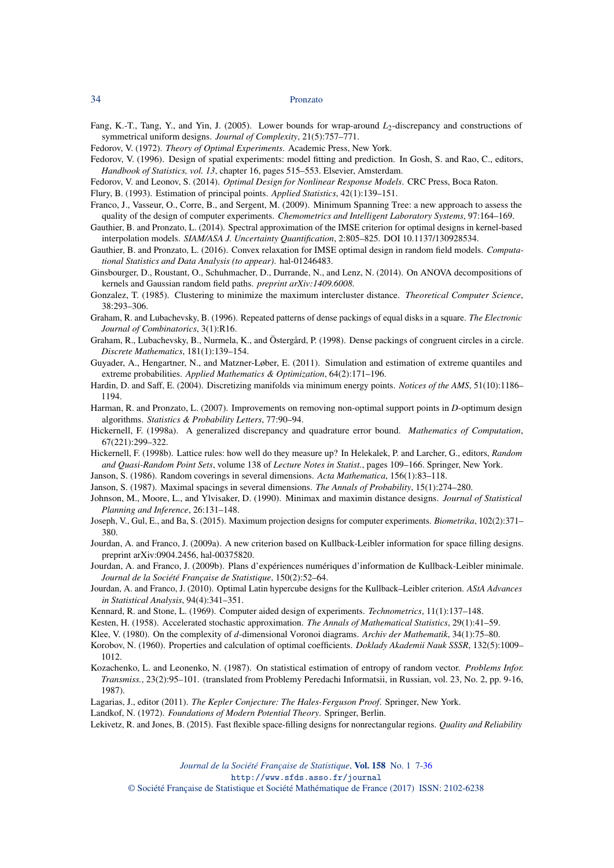<span id="page-27-15"></span>Fang, K.-T., Tang, Y., and Yin, J. (2005). Lower bounds for wrap-around  $L_2$ -discrepancy and constructions of symmetrical uniform designs. *Journal of Complexity*, 21(5):757–771.

<span id="page-27-0"></span>Fedorov, V. (1972). *Theory of Optimal Experiments*. Academic Press, New York.

- <span id="page-27-31"></span>Fedorov, V. (1996). Design of spatial experiments: model fitting and prediction. In Gosh, S. and Rao, C., editors, *Handbook of Statistics, vol. 13*, chapter 16, pages 515–553. Elsevier, Amsterdam.
- <span id="page-27-1"></span>Fedorov, V. and Leonov, S. (2014). *Optimal Design for Nonlinear Response Models*. CRC Press, Boca Raton.

<span id="page-27-28"></span>Flury, B. (1993). Estimation of principal points. *Applied Statistics*, 42(1):139–151.

- <span id="page-27-20"></span>Franco, J., Vasseur, O., Corre, B., and Sergent, M. (2009). Minimum Spanning Tree: a new approach to assess the quality of the design of computer experiments. *Chemometrics and Intelligent Laboratory Systems*, 97:164–169.
- <span id="page-27-2"></span>Gauthier, B. and Pronzato, L. (2014). Spectral approximation of the IMSE criterion for optimal designs in kernel-based interpolation models. *SIAM/ASA J. Uncertainty Quantification*, 2:805–825. DOI 10.1137/130928534.
- <span id="page-27-3"></span>Gauthier, B. and Pronzato, L. (2016). Convex relaxation for IMSE optimal design in random field models. *Computational Statistics and Data Analysis (to appear)*. hal-01246483.
- <span id="page-27-11"></span>Ginsbourger, D., Roustant, O., Schuhmacher, D., Durrande, N., and Lenz, N. (2014). On ANOVA decompositions of kernels and Gaussian random field paths. *preprint arXiv:1409.6008*.
- <span id="page-27-5"></span>Gonzalez, T. (1985). Clustering to minimize the maximum intercluster distance. *Theoretical Computer Science*, 38:293–306.
- <span id="page-27-24"></span>Graham, R. and Lubachevsky, B. (1996). Repeated patterns of dense packings of equal disks in a square. *The Electronic Journal of Combinatorics*, 3(1):R16.
- <span id="page-27-25"></span>Graham, R., Lubachevsky, B., Nurmela, K., and Östergård, P. (1998). Dense packings of congruent circles in a circle. *Discrete Mathematics*, 181(1):139–154.
- <span id="page-27-14"></span>Guyader, A., Hengartner, N., and Matzner-Løber, E. (2011). Simulation and estimation of extreme quantiles and extreme probabilities. *Applied Mathematics & Optimization*, 64(2):171–196.
- <span id="page-27-22"></span>Hardin, D. and Saff, E. (2004). Discretizing manifolds via minimum energy points. *Notices of the AMS*, 51(10):1186– 1194.
- <span id="page-27-30"></span>Harman, R. and Pronzato, L. (2007). Improvements on removing non-optimal support points in *D*-optimum design algorithms. *Statistics & Probability Letters*, 77:90–94.
- <span id="page-27-12"></span>Hickernell, F. (1998a). A generalized discrepancy and quadrature error bound. *Mathematics of Computation*, 67(221):299–322.
- <span id="page-27-7"></span>Hickernell, F. (1998b). Lattice rules: how well do they measure up? In Helekalek, P. and Larcher, G., editors, *Random and Quasi-Random Point Sets*, volume 138 of *Lecture Notes in Statist.*, pages 109–166. Springer, New York.
- <span id="page-27-9"></span>Janson, S. (1986). Random coverings in several dimensions. *Acta Mathematica*, 156(1):83–118.
- <span id="page-27-10"></span>Janson, S. (1987). Maximal spacings in several dimensions. *The Annals of Probability*, 15(1):274–280.
- <span id="page-27-4"></span>Johnson, M., Moore, L., and Ylvisaker, D. (1990). Minimax and maximin distance designs. *Journal of Statistical Planning and Inference*, 26:131–148.
- <span id="page-27-23"></span>Joseph, V., Gul, E., and Ba, S. (2015). Maximum projection designs for computer experiments. *Biometrika*, 102(2):371– 380.
- <span id="page-27-18"></span>Jourdan, A. and Franco, J. (2009a). A new criterion based on Kullback-Leibler information for space filling designs. preprint arXiv:0904.2456, hal-00375820.
- <span id="page-27-16"></span>Jourdan, A. and Franco, J. (2009b). Plans d'expériences numériques d'information de Kullback-Leibler minimale. *Journal de la Société Française de Statistique*, 150(2):52–64.
- <span id="page-27-17"></span>Jourdan, A. and Franco, J. (2010). Optimal Latin hypercube designs for the Kullback–Leibler criterion. *AStA Advances in Statistical Analysis*, 94(4):341–351.
- <span id="page-27-27"></span>Kennard, R. and Stone, L. (1969). Computer aided design of experiments. *Technometrics*, 11(1):137–148.
- <span id="page-27-26"></span>Kesten, H. (1958). Accelerated stochastic approximation. *The Annals of Mathematical Statistics*, 29(1):41–59.
- <span id="page-27-13"></span>Klee, V. (1980). On the complexity of *d*-dimensional Voronoi diagrams. *Archiv der Mathematik*, 34(1):75–80.
- <span id="page-27-8"></span>Korobov, N. (1960). Properties and calculation of optimal coefficients. *Doklady Akademii Nauk SSSR*, 132(5):1009– 1012.
- <span id="page-27-19"></span>Kozachenko, L. and Leonenko, N. (1987). On statistical estimation of entropy of random vector. *Problems Infor. Transmiss.*, 23(2):95–101. (translated from Problemy Peredachi Informatsii, in Russian, vol. 23, No. 2, pp. 9-16, 1987).
- <span id="page-27-6"></span>Lagarias, J., editor (2011). *The Kepler Conjecture: The Hales-Ferguson Proof*. Springer, New York.
- <span id="page-27-21"></span>Landkof, N. (1972). *Foundations of Modern Potential Theory*. Springer, Berlin.
- <span id="page-27-29"></span>Lekivetz, R. and Jones, B. (2015). Fast flexible space-filling designs for nonrectangular regions. *Quality and Reliability*

*Journal de la Société Française de Statistique*, Vol. 158 No. 1 7[-36](#page-29-1) http://www.sfds.asso.fr/journal

© Société Française de Statistique et Société Mathématique de France (2017) ISSN: 2102-6238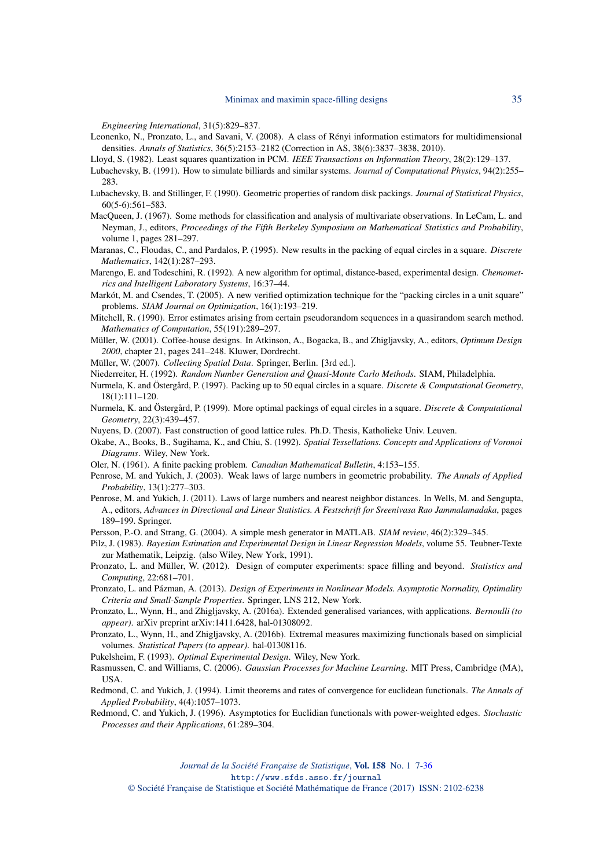*Engineering International*, 31(5):829–837.

<span id="page-28-13"></span>Leonenko, N., Pronzato, L., and Savani, V. (2008). A class of Rényi information estimators for multidimensional densities. *Annals of Statistics*, 36(5):2153–2182 (Correction in AS, 38(6):3837–3838, 2010).

Lloyd, S. (1982). Least squares quantization in PCM. *IEEE Transactions on Information Theory*, 28(2):129–137.

- <span id="page-28-22"></span>Lubachevsky, B. (1991). How to simulate billiards and similar systems. *Journal of Computational Physics*, 94(2):255– 283.
- <span id="page-28-21"></span>Lubachevsky, B. and Stillinger, F. (1990). Geometric properties of random disk packings. *Journal of Statistical Physics*, 60(5-6):561–583.
- <span id="page-28-25"></span>MacQueen, J. (1967). Some methods for classification and analysis of multivariate observations. In LeCam, L. and Neyman, J., editors, *Proceedings of the Fifth Berkeley Symposium on Mathematical Statistics and Probability*, volume 1, pages 281–297.
- <span id="page-28-15"></span>Maranas, C., Floudas, C., and Pardalos, P. (1995). New results in the packing of equal circles in a square. *Discrete Mathematics*, 142(1):287–293.
- <span id="page-28-24"></span>Marengo, E. and Todeschini, R. (1992). A new algorithm for optimal, distance-based, experimental design. *Chemometrics and Intelligent Laboratory Systems*, 16:37–44.
- <span id="page-28-18"></span>Markót, M. and Csendes, T. (2005). A new verified optimization technique for the "packing circles in a unit square" problems. *SIAM Journal on Optimization*, 16(1):193–219.
- <span id="page-28-8"></span>Mitchell, R. (1990). Error estimates arising from certain pseudorandom sequences in a quasirandom search method. *Mathematics of Computation*, 55(191):289–297.
- <span id="page-28-19"></span>Müller, W. (2001). Coffee-house designs. In Atkinson, A., Bogacka, B., and Zhigljavsky, A., editors, *Optimum Design 2000*, chapter 21, pages 241–248. Kluwer, Dordrecht.
- <span id="page-28-20"></span>Müller, W. (2007). *Collecting Spatial Data*. Springer, Berlin. [3rd ed.].
- <span id="page-28-2"></span>Niederreiter, H. (1992). *Random Number Generation and Quasi-Monte Carlo Methods*. SIAM, Philadelphia.
- <span id="page-28-16"></span>Nurmela, K. and Östergård, P. (1997). Packing up to 50 equal circles in a square. *Discrete & Computational Geometry*, 18(1):111–120.
- <span id="page-28-17"></span>Nurmela, K. and Östergård, P. (1999). More optimal packings of equal circles in a square. *Discrete & Computational Geometry*, 22(3):439–457.
- <span id="page-28-4"></span>Nuyens, D. (2007). Fast construction of good lattice rules. Ph.D. Thesis, Katholieke Univ. Leuven.
- <span id="page-28-7"></span>Okabe, A., Books, B., Sugihama, K., and Chiu, S. (1992). *Spatial Tessellations. Concepts and Applications of Voronoi Diagrams*. Wiley, New York.
- <span id="page-28-3"></span>Oler, N. (1961). A finite packing problem. *Canadian Mathematical Bulletin*, 4:153–155.
- <span id="page-28-11"></span>Penrose, M. and Yukich, J. (2003). Weak laws of large numbers in geometric probability. *The Annals of Applied Probability*, 13(1):277–303.
- <span id="page-28-12"></span>Penrose, M. and Yukich, J. (2011). Laws of large numbers and nearest neighbor distances. In Wells, M. and Sengupta, A., editors, *Advances in Directional and Linear Statistics. A Festschrift for Sreenivasa Rao Jammalamadaka*, pages 189–199. Springer.
- <span id="page-28-23"></span>Persson, P.-O. and Strang, G. (2004). A simple mesh generator in MATLAB. *SIAM review*, 46(2):329–345.
- <span id="page-28-27"></span>Pilz, J. (1983). *Bayesian Estimation and Experimental Design in Linear Regression Models*, volume 55. Teubner-Texte zur Mathematik, Leipzig. (also Wiley, New York, 1991).
- <span id="page-28-6"></span>Pronzato, L. and Müller, W. (2012). Design of computer experiments: space filling and beyond. *Statistics and Computing*, 22:681–701.
- <span id="page-28-1"></span>Pronzato, L. and Pázman, A. (2013). *Design of Experiments in Nonlinear Models. Asymptotic Normality, Optimality Criteria and Small-Sample Properties*. Springer, LNS 212, New York.
- <span id="page-28-26"></span>Pronzato, L., Wynn, H., and Zhigljavsky, A. (2016a). Extended generalised variances, with applications. *Bernoulli (to appear)*. arXiv preprint arXiv:1411.6428, hal-01308092.
- <span id="page-28-14"></span>Pronzato, L., Wynn, H., and Zhigljavsky, A. (2016b). Extremal measures maximizing functionals based on simplicial volumes. *Statistical Papers (to appear)*. hal-01308116.
- <span id="page-28-0"></span>Pukelsheim, F. (1993). *Optimal Experimental Design*. Wiley, New York.
- <span id="page-28-5"></span>Rasmussen, C. and Williams, C. (2006). *Gaussian Processes for Machine Learning*. MIT Press, Cambridge (MA), USA.
- <span id="page-28-9"></span>Redmond, C. and Yukich, J. (1994). Limit theorems and rates of convergence for euclidean functionals. *The Annals of Applied Probability*, 4(4):1057–1073.
- <span id="page-28-10"></span>Redmond, C. and Yukich, J. (1996). Asymptotics for Euclidian functionals with power-weighted edges. *Stochastic Processes and their Applications*, 61:289–304.

*Journal de la Société Française de Statistique*, Vol. 158 No. 1 7[-36](#page-29-1) http://www.sfds.asso.fr/journal

© Société Française de Statistique et Société Mathématique de France (2017) ISSN: 2102-6238